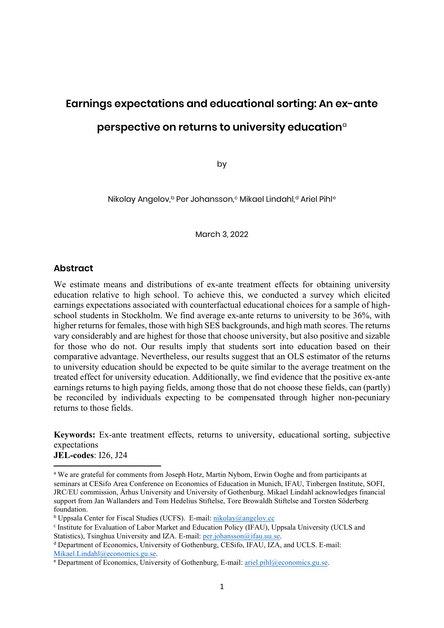# **Earnings expectations and educational sorting**

An ex-ante perspective on returns to university education

Nikolay Angelov Per Johansson Mikael Lindahl Ariel Pihl

EXALUATION OF EVALUATION OF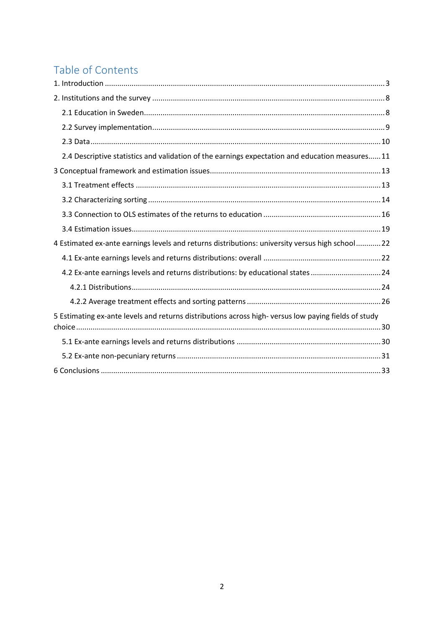The Institute for Evaluation of Labour Market and Education Policy (IFAU) is a research institute under the Swedish Ministry of Employment, situated in Uppsala.

IFAU's objective is to promote, support and carry out scientific evaluations. The assignment includes: the effects of labour market and educational policies, studies of the functioning of the labour market and the labour market effects of social insurance policies. IFAU shall also disseminate its results so that they become accessible to different interested parties in Sweden and abroad.

Papers published in the Working Paper Series should, according to the IFAU policy, have been discussed at seminars held at IFAU and at least one other academic forum, and have been read by one external and one internal referee. They need not, however, have undergone the standard scrutiny for publication in a scientific journal. The purpose of the Working Paper Series is to provide a factual basis for public policy and the public policy discussion.

More information about IFAU and the institute's publications can be found on the website www.ifau.se

ISSN 1651-1166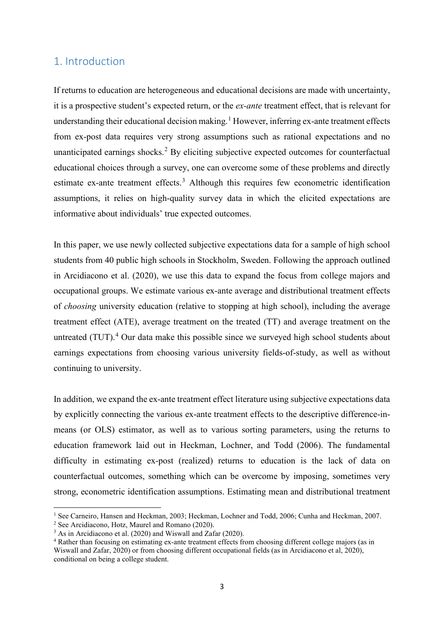## **Earnings expectations and educational sorting: An ex-ante perspective on returns to university education**[a](#page-2-0)

by

Nikolay Angelov,<sup>b</sup> Per Johansson,<sup>[c](#page-2-2)</sup> Mikael Lin[d](#page-2-3)ahl,<sup>d</sup> Ariel Pihl<sup>e</sup>

March 3, 2022

### **Abstract**

We estimate means and distributions of ex-ante treatment effects for obtaining university education relative to high school. To achieve this, we conducted a survey which elicited earnings expectations associated with counterfactual educational choices for a sample of highschool students in Stockholm. We find average ex-ante returns to university to be 36%, with higher returns for females, those with high SES backgrounds, and high math scores. The returns vary considerably and are highest for those that choose university, but also positive and sizable for those who do not. Our results imply that students sort into education based on their comparative advantage. Nevertheless, our results suggest that an OLS estimator of the returns to university education should be expected to be quite similar to the average treatment on the treated effect for university education. Additionally, we find evidence that the positive ex-ante earnings returns to high paying fields, among those that do not choose these fields, can (partly) be reconciled by individuals expecting to be compensated through higher non-pecuniary returns to those fields.

**Keywords:** Ex-ante treatment effects, returns to university, educational sorting, subjective expectations **JEL-codes**: I26, J24

<span id="page-2-0"></span><sup>&</sup>lt;sup>a</sup> We are grateful for comments from Joseph Hotz, Martin Nybom, Erwin Ooghe and from participants at seminars at CESifo Area Conference on Economics of Education in Munich, IFAU, Tinbergen Institute, SOFI, JRC/EU commission, Århus University and University of Gothenburg. Mikael Lindahl acknowledges financial support from Jan Wallanders and Tom Hedelius Stiftelse, Tore Browaldh Stiftelse and Torsten Söderberg foundation.

<span id="page-2-1"></span><sup>b</sup> Uppsala Center for Fiscal Studies (UCFS). E-mail: [nikolay@angelov.cc](mailto:nikolay@angelov.cc)

<span id="page-2-2"></span><sup>c</sup> Institute for Evaluation of Labor Market and Education Policy (IFAU), Uppsala University (UCLS and Statistics), Tsinghua University and IZA. E-mail: [per.johansson@ifau.uu.se.](mailto:per.johansson@ifau.uu.se)

<span id="page-2-3"></span><sup>d</sup> Department of Economics, University of Gothenburg, CESifo, IFAU, IZA, and UCLS. E-mail: [Mikael.Lindahl@economics.gu.se.](mailto:Mikael.Lindahl@economics.gu.se)

<span id="page-2-4"></span><sup>e</sup> Department of Economics, University of Gothenburg, E-mail: [ariel.pihl@economics.gu.se.](mailto:ariel.pihl@economics.gu.se)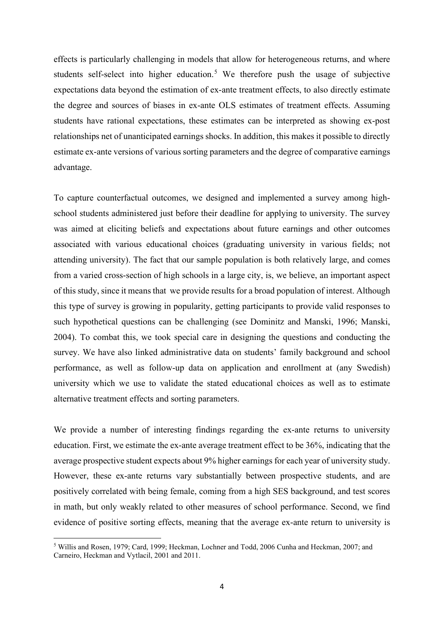### Table of Contents

| 2.4 Descriptive statistics and validation of the earnings expectation and education measures11      |
|-----------------------------------------------------------------------------------------------------|
|                                                                                                     |
|                                                                                                     |
|                                                                                                     |
|                                                                                                     |
|                                                                                                     |
| 4 Estimated ex-ante earnings levels and returns distributions: university versus high school 22     |
|                                                                                                     |
| 4.2 Ex-ante earnings levels and returns distributions: by educational states 24                     |
|                                                                                                     |
|                                                                                                     |
| 5 Estimating ex-ante levels and returns distributions across high-versus low paying fields of study |
|                                                                                                     |
|                                                                                                     |
|                                                                                                     |
|                                                                                                     |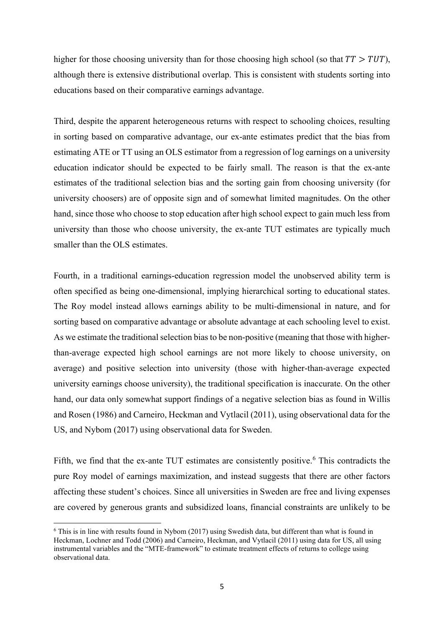### <span id="page-4-0"></span>1. Introduction

If returns to education are heterogeneous and educational decisions are made with uncertainty, it is a prospective student's expected return, or the *ex-ante* treatment effect, that is relevant for understanding their educational decision making.<sup>[1](#page-4-1)</sup> However, inferring ex-ante treatment effects from ex-post data requires very strong assumptions such as rational expectations and no unanticipated earnings shocks.<sup>[2](#page-4-2)</sup> By eliciting subjective expected outcomes for counterfactual educational choices through a survey, one can overcome some of these problems and directly estimate ex-ante treatment effects.<sup>[3](#page-4-3)</sup> Although this requires few econometric identification assumptions, it relies on high-quality survey data in which the elicited expectations are informative about individuals' true expected outcomes.

In this paper, we use newly collected subjective expectations data for a sample of high school students from 40 public high schools in Stockholm, Sweden. Following the approach outlined in Arcidiacono et al. (2020), we use this data to expand the focus from college majors and occupational groups. We estimate various ex-ante average and distributional treatment effects of *choosing* university education (relative to stopping at high school), including the average treatment effect (ATE), average treatment on the treated (TT) and average treatment on the untreated  $(TUT)$ <sup>[4](#page-4-4)</sup>. Our data make this possible since we surveyed high school students about earnings expectations from choosing various university fields-of-study, as well as without continuing to university.

In addition, we expand the ex-ante treatment effect literature using subjective expectations data by explicitly connecting the various ex-ante treatment effects to the descriptive difference-inmeans (or OLS) estimator, as well as to various sorting parameters, using the returns to education framework laid out in Heckman, Lochner, and Todd (2006). The fundamental difficulty in estimating ex-post (realized) returns to education is the lack of data on counterfactual outcomes, something which can be overcome by imposing, sometimes very strong, econometric identification assumptions. Estimating mean and distributional treatment

<span id="page-4-1"></span><sup>&</sup>lt;sup>1</sup> See Carneiro, Hansen and Heckman, 2003; Heckman, Lochner and Todd, 2006; Cunha and Heckman, 2007.

<span id="page-4-2"></span><sup>2</sup> See Arcidiacono, Hotz, Maurel and Romano (2020).

<span id="page-4-3"></span> $3$  As in Arcidiacono et al. (2020) and Wiswall and Zafar (2020).

<span id="page-4-4"></span><sup>4</sup> Rather than focusing on estimating ex-ante treatment effects from choosing different college majors (as in Wiswall and Zafar, 2020) or from choosing different occupational fields (as in Arcidiacono et al, 2020), conditional on being a college student.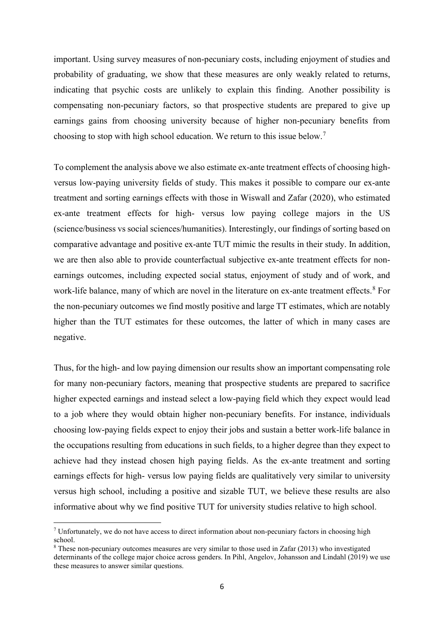effects is particularly challenging in models that allow for heterogeneous returns, and where students self-select into higher education.<sup>[5](#page-5-0)</sup> We therefore push the usage of subjective expectations data beyond the estimation of ex-ante treatment effects, to also directly estimate the degree and sources of biases in ex-ante OLS estimates of treatment effects. Assuming students have rational expectations, these estimates can be interpreted as showing ex-post relationships net of unanticipated earnings shocks. In addition, this makes it possible to directly estimate ex-ante versions of various sorting parameters and the degree of comparative earnings advantage.

To capture counterfactual outcomes, we designed and implemented a survey among highschool students administered just before their deadline for applying to university. The survey was aimed at eliciting beliefs and expectations about future earnings and other outcomes associated with various educational choices (graduating university in various fields; not attending university). The fact that our sample population is both relatively large, and comes from a varied cross-section of high schools in a large city, is, we believe, an important aspect of this study, since it means that we provide results for a broad population of interest. Although this type of survey is growing in popularity, getting participants to provide valid responses to such hypothetical questions can be challenging (see Dominitz and Manski, 1996; Manski, 2004). To combat this, we took special care in designing the questions and conducting the survey. We have also linked administrative data on students' family background and school performance, as well as follow-up data on application and enrollment at (any Swedish) university which we use to validate the stated educational choices as well as to estimate alternative treatment effects and sorting parameters.

We provide a number of interesting findings regarding the ex-ante returns to university education. First, we estimate the ex-ante average treatment effect to be 36%, indicating that the average prospective student expects about 9% higher earnings for each year of university study. However, these ex-ante returns vary substantially between prospective students, and are positively correlated with being female, coming from a high SES background, and test scores in math, but only weakly related to other measures of school performance. Second, we find evidence of positive sorting effects, meaning that the average ex-ante return to university is

<span id="page-5-0"></span><sup>5</sup> Willis and Rosen, 1979; Card, 1999; Heckman, Lochner and Todd, 2006 Cunha and Heckman, 2007; and Carneiro, Heckman and Vytlacil, 2001 and 2011.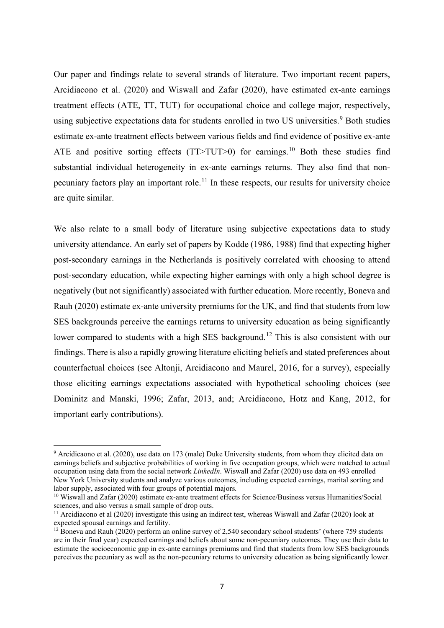higher for those choosing university than for those choosing high school (so that  $TT > TUT$ ), although there is extensive distributional overlap. This is consistent with students sorting into educations based on their comparative earnings advantage.

Third, despite the apparent heterogeneous returns with respect to schooling choices, resulting in sorting based on comparative advantage, our ex-ante estimates predict that the bias from estimating ATE or TT using an OLS estimator from a regression of log earnings on a university education indicator should be expected to be fairly small. The reason is that the ex-ante estimates of the traditional selection bias and the sorting gain from choosing university (for university choosers) are of opposite sign and of somewhat limited magnitudes. On the other hand, since those who choose to stop education after high school expect to gain much less from university than those who choose university, the ex-ante TUT estimates are typically much smaller than the OLS estimates.

Fourth, in a traditional earnings-education regression model the unobserved ability term is often specified as being one-dimensional, implying hierarchical sorting to educational states. The Roy model instead allows earnings ability to be multi-dimensional in nature, and for sorting based on comparative advantage or absolute advantage at each schooling level to exist. As we estimate the traditional selection bias to be non-positive (meaning that those with higherthan-average expected high school earnings are not more likely to choose university, on average) and positive selection into university (those with higher-than-average expected university earnings choose university), the traditional specification is inaccurate. On the other hand, our data only somewhat support findings of a negative selection bias as found in Willis and Rosen (1986) and Carneiro, Heckman and Vytlacil (2011), using observational data for the US, and Nybom (2017) using observational data for Sweden.

Fifth, we find that the ex-ante TUT estimates are consistently positive.<sup>[6](#page-6-0)</sup> This contradicts the pure Roy model of earnings maximization, and instead suggests that there are other factors affecting these student's choices. Since all universities in Sweden are free and living expenses are covered by generous grants and subsidized loans, financial constraints are unlikely to be

<span id="page-6-0"></span> $6$  This is in line with results found in Nybom (2017) using Swedish data, but different than what is found in Heckman, Lochner and Todd (2006) and Carneiro, Heckman, and Vytlacil (2011) using data for US, all using instrumental variables and the "MTE-framework" to estimate treatment effects of returns to college using observational data.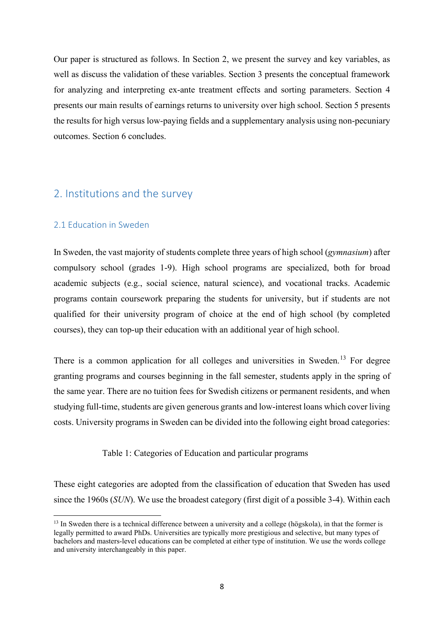important. Using survey measures of non-pecuniary costs, including enjoyment of studies and probability of graduating, we show that these measures are only weakly related to returns, indicating that psychic costs are unlikely to explain this finding. Another possibility is compensating non-pecuniary factors, so that prospective students are prepared to give up earnings gains from choosing university because of higher non-pecuniary benefits from choosing to stop with high school education. We return to this issue below.[7](#page-7-0)

To complement the analysis above we also estimate ex-ante treatment effects of choosing highversus low-paying university fields of study. This makes it possible to compare our ex-ante treatment and sorting earnings effects with those in Wiswall and Zafar (2020), who estimated ex-ante treatment effects for high- versus low paying college majors in the US (science/business vs social sciences/humanities). Interestingly, our findings of sorting based on comparative advantage and positive ex-ante TUT mimic the results in their study. In addition, we are then also able to provide counterfactual subjective ex-ante treatment effects for nonearnings outcomes, including expected social status, enjoyment of study and of work, and work-life balance, many of which are novel in the literature on ex-ante treatment effects.<sup>[8](#page-7-1)</sup> For the non-pecuniary outcomes we find mostly positive and large TT estimates, which are notably higher than the TUT estimates for these outcomes, the latter of which in many cases are negative.

Thus, for the high- and low paying dimension our results show an important compensating role for many non-pecuniary factors, meaning that prospective students are prepared to sacrifice higher expected earnings and instead select a low-paying field which they expect would lead to a job where they would obtain higher non-pecuniary benefits. For instance, individuals choosing low-paying fields expect to enjoy their jobs and sustain a better work-life balance in the occupations resulting from educations in such fields, to a higher degree than they expect to achieve had they instead chosen high paying fields. As the ex-ante treatment and sorting earnings effects for high- versus low paying fields are qualitatively very similar to university versus high school, including a positive and sizable TUT, we believe these results are also informative about why we find positive TUT for university studies relative to high school.

<span id="page-7-0"></span><sup>&</sup>lt;sup>7</sup> Unfortunately, we do not have access to direct information about non-pecuniary factors in choosing high school.

<span id="page-7-1"></span><sup>8</sup> These non-pecuniary outcomes measures are very similar to those used in Zafar (2013) who investigated determinants of the college major choice across genders. In Pihl, Angelov, Johansson and Lindahl (2019) we use these measures to answer similar questions.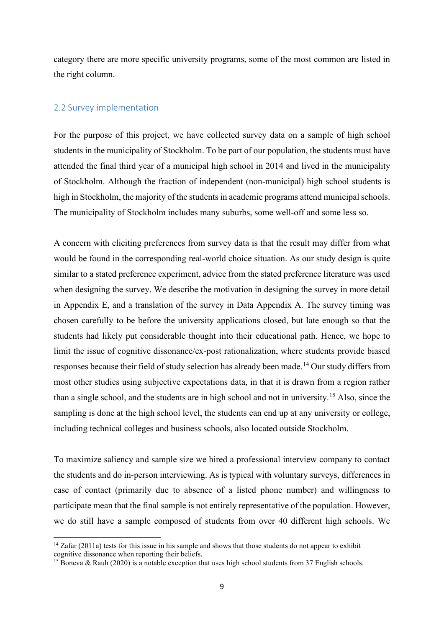Our paper and findings relate to several strands of literature. Two important recent papers, Arcidiacono et al. (2020) and Wiswall and Zafar (2020), have estimated ex-ante earnings treatment effects (ATE, TT, TUT) for occupational choice and college major, respectively, using subjective expectations data for students enrolled in two US universities.<sup>[9](#page-8-0)</sup> Both studies estimate ex-ante treatment effects between various fields and find evidence of positive ex-ante ATE and positive sorting effects  $(TT > TUT > 0)$  for earnings.<sup>[10](#page-8-1)</sup> Both these studies find substantial individual heterogeneity in ex-ante earnings returns. They also find that non-pecuniary factors play an important role.<sup>[11](#page-8-2)</sup> In these respects, our results for university choice are quite similar.

We also relate to a small body of literature using subjective expectations data to study university attendance. An early set of papers by Kodde (1986, 1988) find that expecting higher post-secondary earnings in the Netherlands is positively correlated with choosing to attend post-secondary education, while expecting higher earnings with only a high school degree is negatively (but not significantly) associated with further education. More recently, Boneva and Rauh (2020) estimate ex-ante university premiums for the UK, and find that students from low SES backgrounds perceive the earnings returns to university education as being significantly lower compared to students with a high SES background.<sup>[12](#page-8-3)</sup> This is also consistent with our findings. There is also a rapidly growing literature eliciting beliefs and stated preferences about counterfactual choices (see Altonji, Arcidiacono and Maurel, 2016, for a survey), especially those eliciting earnings expectations associated with hypothetical schooling choices (see Dominitz and Manski, 1996; Zafar, 2013, and; Arcidiacono, Hotz and Kang, 2012, for important early contributions).

<span id="page-8-0"></span><sup>9</sup> Arcidicaono et al. (2020), use data on 173 (male) Duke University students, from whom they elicited data on earnings beliefs and subjective probabilities of working in five occupation groups, which were matched to actual occupation using data from the social network *LinkedIn*. Wiswall and Zafar (2020) use data on 493 enrolled New York University students and analyze various outcomes, including expected earnings, marital sorting and labor supply, associated with four groups of potential majors.

<span id="page-8-1"></span><sup>&</sup>lt;sup>10</sup> Wiswall and Zafar (2020) estimate ex-ante treatment effects for Science/Business versus Humanities/Social sciences, and also versus a small sample of drop outs.

<span id="page-8-2"></span><sup>&</sup>lt;sup>11</sup> Arcidiacono et al (2020) investigate this using an indirect test, whereas Wiswall and Zafar (2020) look at expected spousal earnings and fertility.

<span id="page-8-3"></span><sup>&</sup>lt;sup>12</sup> Boneva and Rauh (2020) perform an online survey of 2,540 secondary school students' (where 759 students are in their final year) expected earnings and beliefs about some non-pecuniary outcomes. They use their data to estimate the socioeconomic gap in ex-ante earnings premiums and find that students from low SES backgrounds perceives the pecuniary as well as the non-pecuniary returns to university education as being significantly lower.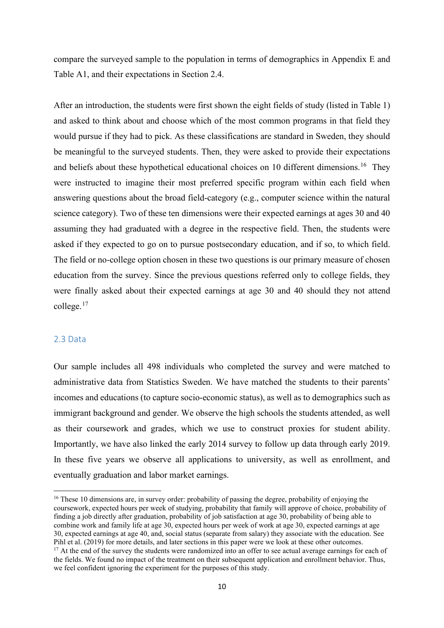Our paper is structured as follows. In Section 2, we present the survey and key variables, as well as discuss the validation of these variables. Section 3 presents the conceptual framework for analyzing and interpreting ex-ante treatment effects and sorting parameters. Section 4 presents our main results of earnings returns to university over high school. Section 5 presents the results for high versus low-paying fields and a supplementary analysis using non-pecuniary outcomes. Section 6 concludes.

### <span id="page-9-0"></span>2. Institutions and the survey

### <span id="page-9-1"></span>2.1 Education in Sweden

In Sweden, the vast majority of students complete three years of high school (*gymnasium*) after compulsory school (grades 1-9). High school programs are specialized, both for broad academic subjects (e.g., social science, natural science), and vocational tracks. Academic programs contain coursework preparing the students for university, but if students are not qualified for their university program of choice at the end of high school (by completed courses), they can top-up their education with an additional year of high school.

There is a common application for all colleges and universities in Sweden.<sup>[13](#page-9-2)</sup> For degree granting programs and courses beginning in the fall semester, students apply in the spring of the same year. There are no tuition fees for Swedish citizens or permanent residents, and when studying full-time, students are given generous grants and low-interest loans which cover living costs. University programs in Sweden can be divided into the following eight broad categories:

Table 1: Categories of Education and particular programs

These eight categories are adopted from the classification of education that Sweden has used since the 1960s (*SUN*). We use the broadest category (first digit of a possible 3-4). Within each

<span id="page-9-2"></span><sup>&</sup>lt;sup>13</sup> In Sweden there is a technical difference between a university and a college (högskola), in that the former is legally permitted to award PhDs. Universities are typically more prestigious and selective, but many types of bachelors and masters-level educations can be completed at either type of institution. We use the words college and university interchangeably in this paper.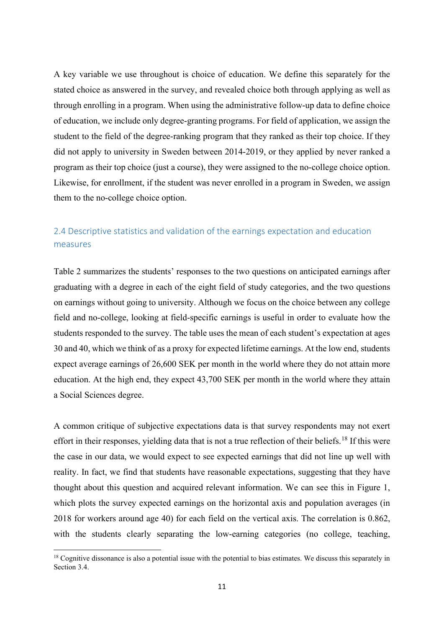category there are more specific university programs, some of the most common are listed in the right column.

### <span id="page-10-0"></span>2.2 Survey implementation

For the purpose of this project, we have collected survey data on a sample of high school students in the municipality of Stockholm. To be part of our population, the students must have attended the final third year of a municipal high school in 2014 and lived in the municipality of Stockholm. Although the fraction of independent (non-municipal) high school students is high in Stockholm, the majority of the students in academic programs attend municipal schools. The municipality of Stockholm includes many suburbs, some well-off and some less so.

A concern with eliciting preferences from survey data is that the result may differ from what would be found in the corresponding real-world choice situation. As our study design is quite similar to a stated preference experiment, advice from the stated preference literature was used when designing the survey. We describe the motivation in designing the survey in more detail in Appendix E, and a translation of the survey in Data Appendix A. The survey timing was chosen carefully to be before the university applications closed, but late enough so that the students had likely put considerable thought into their educational path. Hence, we hope to limit the issue of cognitive dissonance/ex-post rationalization, where students provide biased responses because their field of study selection has already been made. <sup>[14](#page-10-1)</sup> Our study differs from most other studies using subjective expectations data, in that it is drawn from a region rather than a single school, and the students are in high school and not in university. [15](#page-10-2) Also, since the sampling is done at the high school level, the students can end up at any university or college, including technical colleges and business schools, also located outside Stockholm.

To maximize saliency and sample size we hired a professional interview company to contact the students and do in-person interviewing. As is typical with voluntary surveys, differences in ease of contact (primarily due to absence of a listed phone number) and willingness to participate mean that the final sample is not entirely representative of the population. However, we do still have a sample composed of students from over 40 different high schools. We

<span id="page-10-1"></span><sup>&</sup>lt;sup>14</sup> Zafar (2011a) tests for this issue in his sample and shows that those students do not appear to exhibit cognitive dissonance when reporting their beliefs.

<span id="page-10-2"></span><sup>&</sup>lt;sup>15</sup> Boneva & Rauh (2020) is a notable exception that uses high school students from 37 English schools.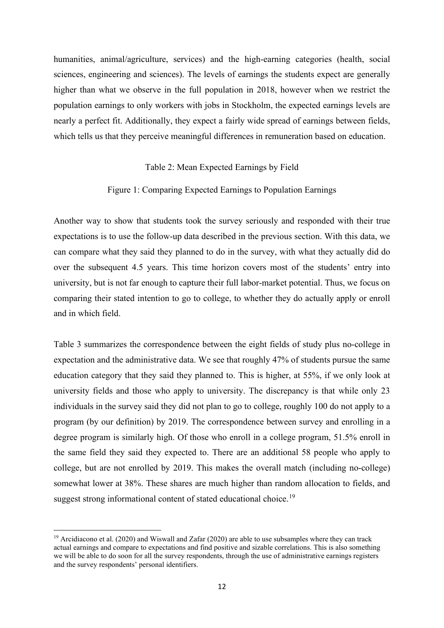compare the surveyed sample to the population in terms of demographics in Appendix E and Table A1, and their expectations in Section 2.4.

After an introduction, the students were first shown the eight fields of study (listed in Table 1) and asked to think about and choose which of the most common programs in that field they would pursue if they had to pick. As these classifications are standard in Sweden, they should be meaningful to the surveyed students. Then, they were asked to provide their expectations and beliefs about these hypothetical educational choices on 10 different dimensions.<sup>[16](#page-11-1)</sup> They were instructed to imagine their most preferred specific program within each field when answering questions about the broad field-category (e.g., computer science within the natural science category). Two of these ten dimensions were their expected earnings at ages 30 and 40 assuming they had graduated with a degree in the respective field. Then, the students were asked if they expected to go on to pursue postsecondary education, and if so, to which field. The field or no-college option chosen in these two questions is our primary measure of chosen education from the survey. Since the previous questions referred only to college fields, they were finally asked about their expected earnings at age 30 and 40 should they not attend college. [17](#page-11-2)

### <span id="page-11-0"></span>2.3 Data

Our sample includes all 498 individuals who completed the survey and were matched to administrative data from Statistics Sweden. We have matched the students to their parents' incomes and educations (to capture socio-economic status), as well as to demographics such as immigrant background and gender. We observe the high schools the students attended, as well as their coursework and grades, which we use to construct proxies for student ability. Importantly, we have also linked the early 2014 survey to follow up data through early 2019. In these five years we observe all applications to university, as well as enrollment, and eventually graduation and labor market earnings.

<span id="page-11-2"></span><span id="page-11-1"></span><sup>&</sup>lt;sup>16</sup> These 10 dimensions are, in survey order: probability of passing the degree, probability of enjoying the coursework, expected hours per week of studying, probability that family will approve of choice, probability of finding a job directly after graduation, probability of job satisfaction at age 30, probability of being able to combine work and family life at age 30, expected hours per week of work at age 30, expected earnings at age 30, expected earnings at age 40, and, social status (separate from salary) they associate with the education. See Pihl et al. (2019) for more details, and later sections in this paper were we look at these other outcomes.<br><sup>17</sup> At the end of the survey the students were randomized into an offer to see actual average earnings for each o the fields. We found no impact of the treatment on their subsequent application and enrollment behavior. Thus, we feel confident ignoring the experiment for the purposes of this study.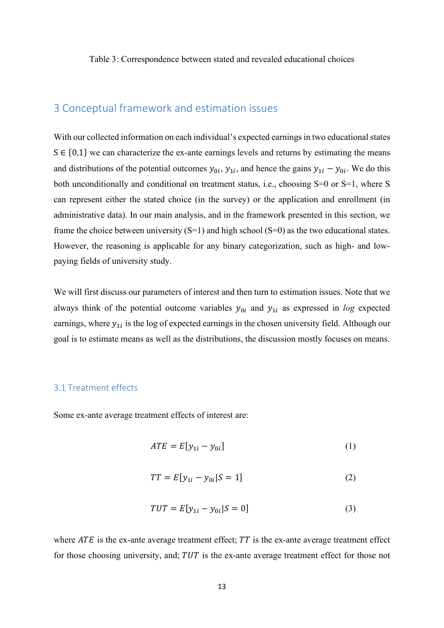A key variable we use throughout is choice of education. We define this separately for the stated choice as answered in the survey, and revealed choice both through applying as well as through enrolling in a program. When using the administrative follow-up data to define choice of education, we include only degree-granting programs. For field of application, we assign the student to the field of the degree-ranking program that they ranked as their top choice. If they did not apply to university in Sweden between 2014-2019, or they applied by never ranked a program as their top choice (just a course), they were assigned to the no-college choice option. Likewise, for enrollment, if the student was never enrolled in a program in Sweden, we assign them to the no-college choice option.

### <span id="page-12-0"></span>2.4 Descriptive statistics and validation of the earnings expectation and education measures

Table 2 summarizes the students' responses to the two questions on anticipated earnings after graduating with a degree in each of the eight field of study categories, and the two questions on earnings without going to university. Although we focus on the choice between any college field and no-college, looking at field-specific earnings is useful in order to evaluate how the students responded to the survey. The table uses the mean of each student's expectation at ages 30 and 40, which we think of as a proxy for expected lifetime earnings. At the low end, students expect average earnings of 26,600 SEK per month in the world where they do not attain more education. At the high end, they expect 43,700 SEK per month in the world where they attain a Social Sciences degree.

A common critique of subjective expectations data is that survey respondents may not exert effort in their responses, yielding data that is not a true reflection of their beliefs.<sup>[18](#page-12-1)</sup> If this were the case in our data, we would expect to see expected earnings that did not line up well with reality. In fact, we find that students have reasonable expectations, suggesting that they have thought about this question and acquired relevant information. We can see this in Figure 1, which plots the survey expected earnings on the horizontal axis and population averages (in 2018 for workers around age 40) for each field on the vertical axis. The correlation is 0.862, with the students clearly separating the low-earning categories (no college, teaching,

<span id="page-12-1"></span><sup>&</sup>lt;sup>18</sup> Cognitive dissonance is also a potential issue with the potential to bias estimates. We discuss this separately in Section 3.4.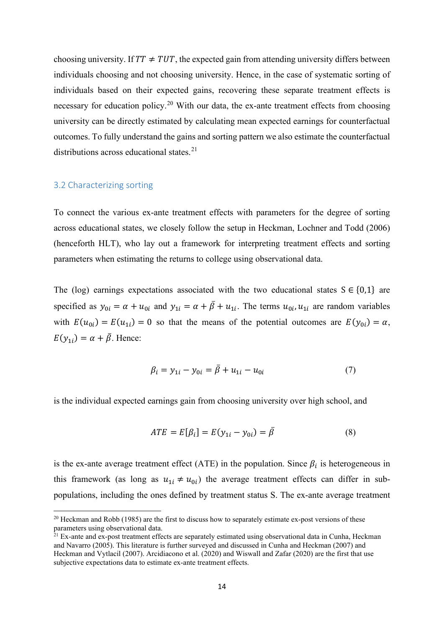humanities, animal/agriculture, services) and the high-earning categories (health, social sciences, engineering and sciences). The levels of earnings the students expect are generally higher than what we observe in the full population in 2018, however when we restrict the population earnings to only workers with jobs in Stockholm, the expected earnings levels are nearly a perfect fit. Additionally, they expect a fairly wide spread of earnings between fields, which tells us that they perceive meaningful differences in remuneration based on education.

### Table 2: Mean Expected Earnings by Field

### Figure 1: Comparing Expected Earnings to Population Earnings

Another way to show that students took the survey seriously and responded with their true expectations is to use the follow-up data described in the previous section. With this data, we can compare what they said they planned to do in the survey, with what they actually did do over the subsequent 4.5 years. This time horizon covers most of the students' entry into university, but is not far enough to capture their full labor-market potential. Thus, we focus on comparing their stated intention to go to college, to whether they do actually apply or enroll and in which field.

Table 3 summarizes the correspondence between the eight fields of study plus no-college in expectation and the administrative data. We see that roughly 47% of students pursue the same education category that they said they planned to. This is higher, at 55%, if we only look at university fields and those who apply to university. The discrepancy is that while only 23 individuals in the survey said they did not plan to go to college, roughly 100 do not apply to a program (by our definition) by 2019. The correspondence between survey and enrolling in a degree program is similarly high. Of those who enroll in a college program, 51.5% enroll in the same field they said they expected to. There are an additional 58 people who apply to college, but are not enrolled by 2019. This makes the overall match (including no-college) somewhat lower at 38%. These shares are much higher than random allocation to fields, and suggest strong informational content of stated educational choice.<sup>[19](#page-13-0)</sup>

<span id="page-13-0"></span><sup>&</sup>lt;sup>19</sup> Arcidiacono et al. (2020) and Wiswall and Zafar (2020) are able to use subsamples where they can track actual earnings and compare to expectations and find positive and sizable correlations. This is also something we will be able to do soon for all the survey respondents, through the use of administrative earnings registers and the survey respondents' personal identifiers.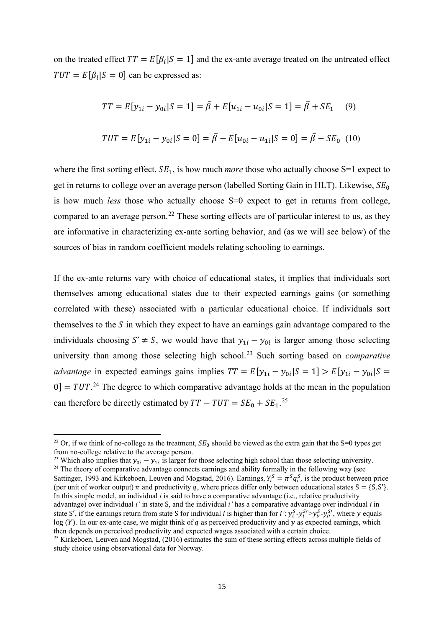Table 3: Correspondence between stated and revealed educational choices

### <span id="page-14-0"></span>3 Conceptual framework and estimation issues

With our collected information on each individual's expected earnings in two educational states  $S \in \{0,1\}$  we can characterize the ex-ante earnings levels and returns by estimating the means and distributions of the potential outcomes  $y_{0i}$ ,  $y_{1i}$ , and hence the gains  $y_{1i} - y_{0i}$ . We do this both unconditionally and conditional on treatment status, i.e., choosing S=0 or S=1, where S can represent either the stated choice (in the survey) or the application and enrollment (in administrative data). In our main analysis, and in the framework presented in this section, we frame the choice between university  $(S=1)$  and high school  $(S=0)$  as the two educational states. However, the reasoning is applicable for any binary categorization, such as high- and lowpaying fields of university study.

We will first discuss our parameters of interest and then turn to estimation issues. Note that we always think of the potential outcome variables  $y_{0i}$  and  $y_{1i}$  as expressed in *log* expected earnings, where  $y_{1i}$  is the log of expected earnings in the chosen university field. Although our goal is to estimate means as well as the distributions, the discussion mostly focuses on means.

### <span id="page-14-1"></span>3.1 Treatment effects

Some ex-ante average treatment effects of interest are:

$$
ATE = E[y_{1i} - y_{0i}] \tag{1}
$$

$$
TT = E[y_{1i} - y_{0i} | S = 1]
$$
 (2)

$$
TUT = E[y_{1i} - y_{0i} | S = 0]
$$
 (3)

where  $ATE$  is the ex-ante average treatment effect;  $TT$  is the ex-ante average treatment effect for those choosing university, and;  $TUT$  is the ex-ante average treatment effect for those not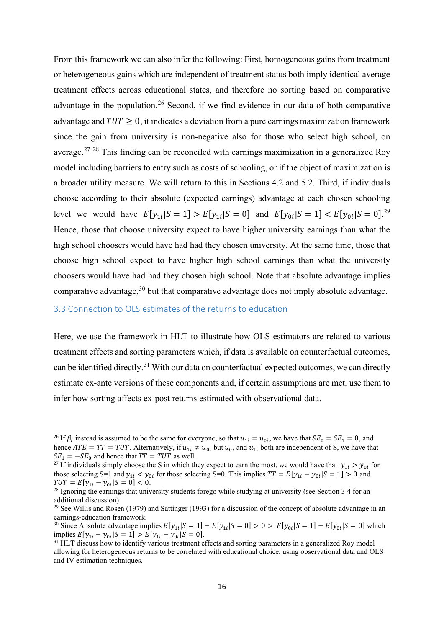choosing university. If  $TT \neq TUT$ , the expected gain from attending university differs between individuals choosing and not choosing university. Hence, in the case of systematic sorting of individuals based on their expected gains, recovering these separate treatment effects is necessary for education policy.<sup>[20](#page-15-1)</sup> With our data, the ex-ante treatment effects from choosing university can be directly estimated by calculating mean expected earnings for counterfactual outcomes. To fully understand the gains and sorting pattern we also estimate the counterfactual distributions across educational states.<sup>[21](#page-15-2)</sup>

### <span id="page-15-0"></span>3.2 Characterizing sorting

To connect the various ex-ante treatment effects with parameters for the degree of sorting across educational states, we closely follow the setup in Heckman, Lochner and Todd (2006) (henceforth HLT), who lay out a framework for interpreting treatment effects and sorting parameters when estimating the returns to college using observational data.

The (log) earnings expectations associated with the two educational states  $S \in \{0,1\}$  are specified as  $y_{0i} = \alpha + u_{0i}$  and  $y_{1i} = \alpha + \bar{\beta} + u_{1i}$ . The terms  $u_{0i}$ ,  $u_{1i}$  are random variables with  $E(u_{0i}) = E(u_{1i}) = 0$  so that the means of the potential outcomes are  $E(y_{0i}) = \alpha$ ,  $E(y_{1i}) = \alpha + \bar{\beta}$ . Hence:

$$
\beta_i = y_{1i} - y_{0i} = \beta + u_{1i} - u_{0i} \tag{7}
$$

is the individual expected earnings gain from choosing university over high school, and

$$
ATE = E[\beta_i] = E(y_{1i} - y_{0i}) = \bar{\beta}
$$
\n(8)

is the ex-ante average treatment effect (ATE) in the population. Since  $\beta_i$  is heterogeneous in this framework (as long as  $u_{1i} \neq u_{0i}$ ) the average treatment effects can differ in subpopulations, including the ones defined by treatment status S. The ex-ante average treatment

<span id="page-15-1"></span> $^{20}$  Heckman and Robb (1985) are the first to discuss how to separately estimate ex-post versions of these parameters using observational data.

<span id="page-15-2"></span><sup>&</sup>lt;sup>21</sup> Ex-ante and ex-post treatment effects are separately estimated using observational data in Cunha, Heckman and Navarro (2005). This literature is further surveyed and discussed in Cunha and Heckman (2007) and Heckman and Vytlacil (2007). Arcidiacono et al. (2020) and Wiswall and Zafar (2020) are the first that use subjective expectations data to estimate ex-ante treatment effects.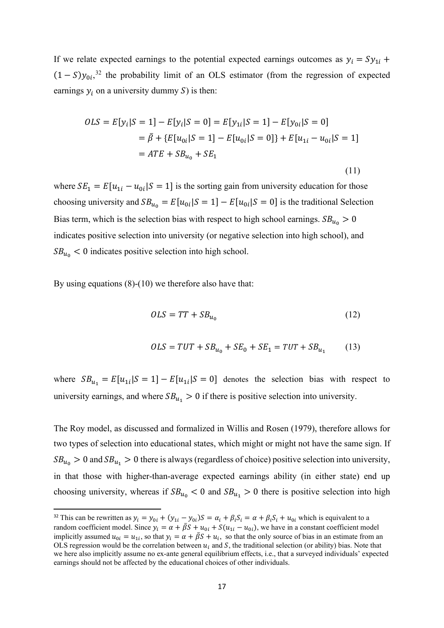on the treated effect  $TT = E[\beta_i | S = 1]$  and the ex-ante average treated on the untreated effect  $TUT = E[\beta_i | S = 0]$  can be expressed as:

$$
TT = E[y_{1i} - y_{0i}|S = 1] = \bar{\beta} + E[u_{1i} - u_{0i}|S = 1] = \bar{\beta} + SE_1 \quad (9)
$$
  

$$
TUT = E[y_{1i} - y_{0i}|S = 0] = \bar{\beta} - E[u_{0i} - u_{1i}|S = 0] = \bar{\beta} - SE_0 \quad (10)
$$

where the first sorting effect,  $SE_1$ , is how much *more* those who actually choose S=1 expect to get in returns to college over an average person (labelled Sorting Gain in HLT). Likewise,  $SE_0$ is how much *less* those who actually choose S=0 expect to get in returns from college, compared to an average person.<sup>[22](#page-16-0)</sup> These sorting effects are of particular interest to us, as they are informative in characterizing ex-ante sorting behavior, and (as we will see below) of the sources of bias in random coefficient models relating schooling to earnings.

If the ex-ante returns vary with choice of educational states, it implies that individuals sort themselves among educational states due to their expected earnings gains (or something correlated with these) associated with a particular educational choice. If individuals sort themselves to the  $S$  in which they expect to have an earnings gain advantage compared to the individuals choosing  $S' \neq S$ , we would have that  $y_{1i} - y_{0i}$  is larger among those selecting university than among those selecting high school. [23](#page-16-1) Such sorting based on *comparative advantage* in expected earnings gains implies  $TT = E[y_{1i} - y_{0i} | S = 1] > E[y_{1i} - y_{0i} | S =$  $[0] = TUT<sup>24</sup>$  $[0] = TUT<sup>24</sup>$  $[0] = TUT<sup>24</sup>$  The degree to which comparative advantage holds at the mean in the population can therefore be directly estimated by  $TT - TUT = SE_0 + SE_1$ <sup>[25](#page-16-3)</sup>

<span id="page-16-2"></span><span id="page-16-1"></span><sup>24</sup> The theory of comparative advantage connects earnings and ability formally in the following way (see Sattinger, 1993 and Kirkeboen, Leuven and Mogstad, 2016). Earnings,  $Y_i^S = \pi^S q_i^S$ , is the product between price (per unit of worker output)  $\pi$  and productivity q, where prices differ only between educational states  $S = \{S, S'\}$ . In this simple model, an individual *i* is said to have a comparative advantage (i.e., relative productivity advantage) over individual *i'* in state S, and the individual *i'* has a comparative advantage over individual *i* in state S', if the earnings return from state S for individual *i* is higher than for  $i' : y_i^S - y_i^{S'} - y_i^{S'} - y_i^{S'}$ , where y equals log (Y). In our ex-ante case, we might think of  $q$  as perceived productivity and  $y$  as expected earnings, which then depends on perceived productivity and expected wages associated with a certain choice.

<span id="page-16-0"></span><sup>&</sup>lt;sup>22</sup> Or, if we think of no-college as the treatment,  $SE_0$  should be viewed as the extra gain that the S=0 types get from no-college relative to the average person.<br><sup>23</sup> Which also implies that  $y_{0i} - y_{1i}$  is larger for those selecting high school than those selecting university.

<span id="page-16-3"></span><sup>&</sup>lt;sup>25</sup> Kirkeboen, Leuven and Mogstad, (2016) estimates the sum of these sorting effects across multiple fields of study choice using observational data for Norway.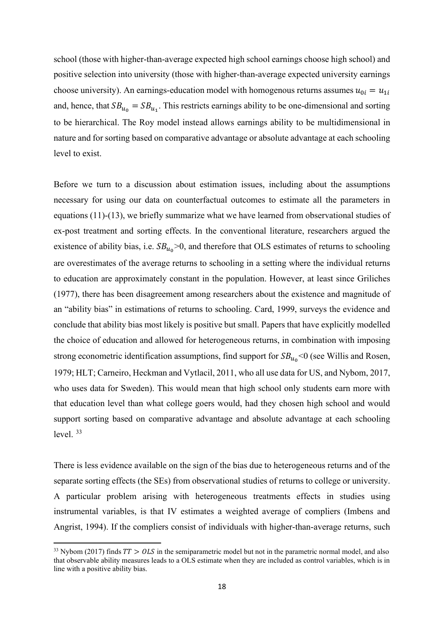From this framework we can also infer the following: First, homogeneous gains from treatment or heterogeneous gains which are independent of treatment status both imply identical average treatment effects across educational states, and therefore no sorting based on comparative advantage in the population.<sup>[26](#page-17-1)</sup> Second, if we find evidence in our data of both comparative advantage and  $TUT \geq 0$ , it indicates a deviation from a pure earnings maximization framework since the gain from university is non-negative also for those who select high school, on average.<sup>[27](#page-17-2)</sup> <sup>[28](#page-17-3)</sup> This finding can be reconciled with earnings maximization in a generalized Roy model including barriers to entry such as costs of schooling, or if the object of maximization is a broader utility measure. We will return to this in Sections 4.2 and 5.2. Third, if individuals choose according to their absolute (expected earnings) advantage at each chosen schooling level we would have  $E[y_{1i}|S = 1] > E[y_{1i}|S = 0]$  and  $E[y_{0i}|S = 1] < E[y_{0i}|S = 0]$ .<sup>[29](#page-17-4)</sup> Hence, those that choose university expect to have higher university earnings than what the high school choosers would have had had they chosen university. At the same time, those that choose high school expect to have higher high school earnings than what the university choosers would have had had they chosen high school. Note that absolute advantage implies comparative advantage,<sup>[30](#page-17-5)</sup> but that comparative advantage does not imply absolute advantage.

### <span id="page-17-0"></span>3.3 Connection to OLS estimates of the returns to education

Here, we use the framework in HLT to illustrate how OLS estimators are related to various treatment effects and sorting parameters which, if data is available on counterfactual outcomes, can be identified directly.<sup>[31](#page-17-6)</sup> With our data on counterfactual expected outcomes, we can directly estimate ex-ante versions of these components and, if certain assumptions are met, use them to infer how sorting affects ex-post returns estimated with observational data.

<span id="page-17-1"></span><sup>&</sup>lt;sup>26</sup> If  $\beta_i$  instead is assumed to be the same for everyone, so that  $u_{1i} = u_{0i}$ , we have that  $SE_0 = SE_1 = 0$ , and hence  $ATE = TT = TUT$ . Alternatively, if  $u_{1i} \neq u_{0i}$  but  $u_{0i}$  and  $u_{1i}$  both are independent of S, we have that  $SE_1 = -SE_0$  and hence that  $TT = TUT$  as well.

<span id="page-17-2"></span><sup>&</sup>lt;sup>27</sup> If individuals simply choose the S in which they expect to earn the most, we would have that  $y_{1i} > y_{0i}$  for those selecting S=1 and  $y_{1i} < y_{0i}$  for those selecting S=0. This implies  $TT = E[y_{1i} - y_{0i} | S = 1] > 0$  and  $TUT = E[y_{1i} - y_{0i} | S = 0] < 0.$ <br><sup>28</sup> Ignoring the earnings that university students forego while studying at university (see Section 3.4 for an

<span id="page-17-3"></span>additional discussion).

<span id="page-17-4"></span><sup>&</sup>lt;sup>29</sup> See Willis and Rosen (1979) and Sattinger (1993) for a discussion of the concept of absolute advantage in an earnings-education framework.

<span id="page-17-5"></span><sup>&</sup>lt;sup>30</sup> Since Absolute advantage implies  $E[y_{1i} | S = 1] - E[y_{1i} | S = 0] > 0 > E[y_{0i} | S = 1] - E[y_{0i} | S = 0]$  which implies  $E[y_{1i} - y_{0i} | S = 1] > E[y_{1i} - y_{0i} | S = 0]$ .

<span id="page-17-6"></span><sup>&</sup>lt;sup>31</sup> HLT discuss how to identify various treatment effects and sorting parameters in a generalized Roy model allowing for heterogeneous returns to be correlated with educational choice, using observational data and OLS and IV estimation techniques.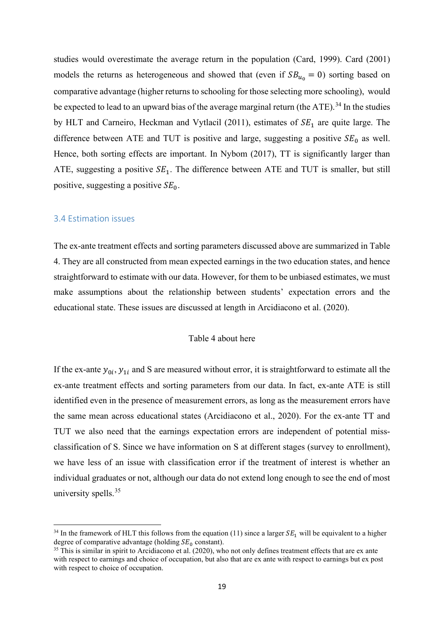If we relate expected earnings to the potential expected earnings outcomes as  $y_i = Sy_{1i}$  +  $(1 - S)y_{0i}$ <sup>[32](#page-18-0)</sup>, the probability limit of an OLS estimator (from the regression of expected earnings  $y_i$  on a university dummy S) is then:

$$
OLS = E[y_i|S = 1] - E[y_i|S = 0] = E[y_{1i}|S = 1] - E[y_{0i}|S = 0]
$$
  
=  $\bar{\beta} + \{E[u_{0i}|S = 1] - E[u_{0i}|S = 0]\} + E[u_{1i} - u_{0i}|S = 1]$   
=  $ATE + SB_{u_0} + SE_1$  (11)

where  $SE_1 = E[u_{1i} - u_{0i} | S = 1]$  is the sorting gain from university education for those choosing university and  $SB_{u_0} = E[u_{0i}|S = 1] - E[u_{0i}|S = 0]$  is the traditional Selection Bias term, which is the selection bias with respect to high school earnings.  $SB_{u_0} > 0$ indicates positive selection into university (or negative selection into high school), and  $SB_{u_0} < 0$  indicates positive selection into high school.

By using equations  $(8)-(10)$  we therefore also have that:

$$
OLS = TT + SB_{u_0} \tag{12}
$$

$$
OLS = TUT + SB_{u_0} + SE_0 + SE_1 = TUT + SB_{u_1}
$$
 (13)

where  $SB_{u_i} = E[u_{1i} | S = 1] - E[u_{1i} | S = 0]$  denotes the selection bias with respect to university earnings, and where  $SB_{u_1} > 0$  if there is positive selection into university.

The Roy model, as discussed and formalized in Willis and Rosen (1979), therefore allows for two types of selection into educational states, which might or might not have the same sign. If  $SB_{u_0} > 0$  and  $SB_{u_1} > 0$  there is always (regardless of choice) positive selection into university, in that those with higher-than-average expected earnings ability (in either state) end up choosing university, whereas if  $SB_{u_0} < 0$  and  $SB_{u_1} > 0$  there is positive selection into high

<span id="page-18-0"></span><sup>&</sup>lt;sup>32</sup> This can be rewritten as  $y_i = y_{0i} + (y_{1i} - y_{0i})S = \alpha_i + \beta_i S_i = \alpha + \beta_i S_i + u_{0i}$  which is equivalent to a random coefficient model. Since  $y_i = \alpha + \bar{\beta}S + u_{0i} + S(u_{1i} - u_{0i})$ , we have in a constant coefficient model implicitly assumed  $u_{0i} = u_{1i}$ , so that  $y_i = \alpha + \beta S + u_i$ , so that the only source of bias in an estimate from an OLS regression would be the correlation between  $u_i$  and S, the traditional selection (or ability) bias. Note that we here also implicitly assume no ex-ante general equilibrium effects, i.e., that a surveyed individuals' expected earnings should not be affected by the educational choices of other individuals.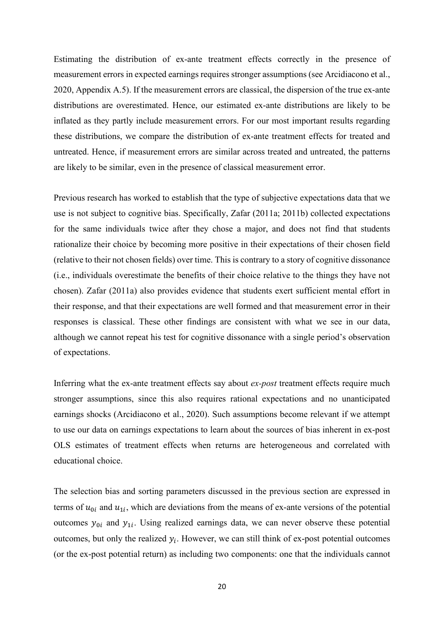school (those with higher-than-average expected high school earnings choose high school) and positive selection into university (those with higher-than-average expected university earnings choose university). An earnings-education model with homogenous returns assumes  $u_{0i} = u_{1i}$ and, hence, that  $SB_{u_0} = SB_{u_1}$ . This restricts earnings ability to be one-dimensional and sorting to be hierarchical. The Roy model instead allows earnings ability to be multidimensional in nature and for sorting based on comparative advantage or absolute advantage at each schooling level to exist.

Before we turn to a discussion about estimation issues, including about the assumptions necessary for using our data on counterfactual outcomes to estimate all the parameters in equations (11)-(13), we briefly summarize what we have learned from observational studies of ex-post treatment and sorting effects. In the conventional literature, researchers argued the existence of ability bias, i.e.  $SB_{u_0} > 0$ , and therefore that OLS estimates of returns to schooling are overestimates of the average returns to schooling in a setting where the individual returns to education are approximately constant in the population. However, at least since Griliches (1977), there has been disagreement among researchers about the existence and magnitude of an "ability bias" in estimations of returns to schooling. Card, 1999, surveys the evidence and conclude that ability bias most likely is positive but small. Papers that have explicitly modelled the choice of education and allowed for heterogeneous returns, in combination with imposing strong econometric identification assumptions, find support for  $SB_{u_0}$ <0 (see Willis and Rosen, 1979; HLT; Carneiro, Heckman and Vytlacil, 2011, who all use data for US, and Nybom, 2017, who uses data for Sweden). This would mean that high school only students earn more with that education level than what college goers would, had they chosen high school and would support sorting based on comparative advantage and absolute advantage at each schooling level. [33](#page-19-0)

There is less evidence available on the sign of the bias due to heterogeneous returns and of the separate sorting effects (the SEs) from observational studies of returns to college or university. A particular problem arising with heterogeneous treatments effects in studies using instrumental variables, is that IV estimates a weighted average of compliers (Imbens and Angrist, 1994). If the compliers consist of individuals with higher-than-average returns, such

<span id="page-19-0"></span><sup>&</sup>lt;sup>33</sup> Nybom (2017) finds  $TT > OLS$  in the semiparametric model but not in the parametric normal model, and also that observable ability measures leads to a OLS estimate when they are included as control variables, which is in line with a positive ability bias.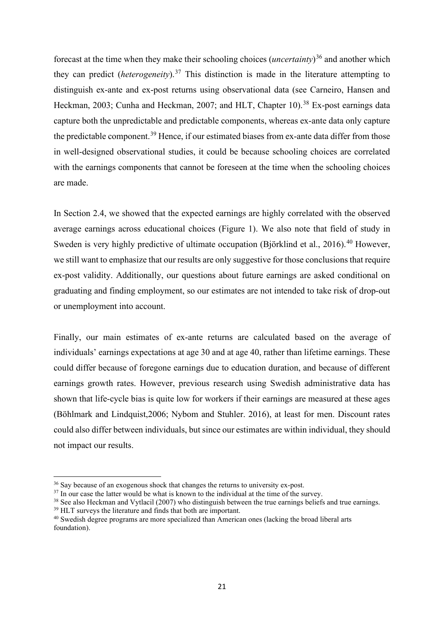studies would overestimate the average return in the population (Card, 1999). Card (2001) models the returns as heterogeneous and showed that (even if  $SB_{u_0} = 0$ ) sorting based on comparative advantage (higher returns to schooling for those selecting more schooling), would be expected to lead to an upward bias of the average marginal return (the ATE).<sup>[34](#page-20-1)</sup> In the studies by HLT and Carneiro, Heckman and Vytlacil (2011), estimates of  $SE<sub>1</sub>$  are quite large. The difference between ATE and TUT is positive and large, suggesting a positive  $SE_0$  as well. Hence, both sorting effects are important. In Nybom (2017), TT is significantly larger than ATE, suggesting a positive  $SE<sub>1</sub>$ . The difference between ATE and TUT is smaller, but still positive, suggesting a positive  $SE<sub>0</sub>$ .

### <span id="page-20-0"></span>3.4 Estimation issues

The ex-ante treatment effects and sorting parameters discussed above are summarized in Table 4. They are all constructed from mean expected earnings in the two education states, and hence straightforward to estimate with our data. However, for them to be unbiased estimates, we must make assumptions about the relationship between students' expectation errors and the educational state. These issues are discussed at length in Arcidiacono et al. (2020).

### Table 4 about here

If the ex-ante  $y_{0i}$ ,  $y_{1i}$  and S are measured without error, it is straightforward to estimate all the ex-ante treatment effects and sorting parameters from our data. In fact, ex-ante ATE is still identified even in the presence of measurement errors, as long as the measurement errors have the same mean across educational states (Arcidiacono et al., 2020). For the ex-ante TT and TUT we also need that the earnings expectation errors are independent of potential missclassification of S. Since we have information on S at different stages (survey to enrollment), we have less of an issue with classification error if the treatment of interest is whether an individual graduates or not, although our data do not extend long enough to see the end of most university spells.<sup>[35](#page-20-2)</sup>

<span id="page-20-1"></span><sup>&</sup>lt;sup>34</sup> In the framework of HLT this follows from the equation (11) since a larger  $SE_1$  will be equivalent to a higher degree of comparative advantage (holding  $SE_0$  constant).

<span id="page-20-2"></span> $35$  This is similar in spirit to Arcidiacono et al. (2020), who not only defines treatment effects that are ex ante with respect to earnings and choice of occupation, but also that are ex ante with respect to earnings but ex post with respect to choice of occupation.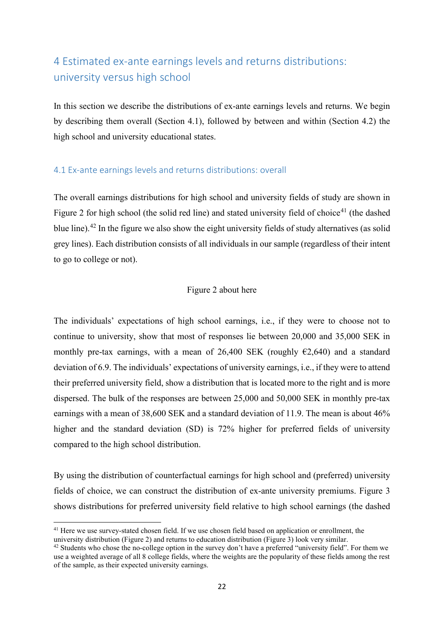Estimating the distribution of ex-ante treatment effects correctly in the presence of measurement errors in expected earnings requires stronger assumptions (see Arcidiacono et al., 2020, Appendix A.5). If the measurement errors are classical, the dispersion of the true ex-ante distributions are overestimated. Hence, our estimated ex-ante distributions are likely to be inflated as they partly include measurement errors. For our most important results regarding these distributions, we compare the distribution of ex-ante treatment effects for treated and untreated. Hence, if measurement errors are similar across treated and untreated, the patterns are likely to be similar, even in the presence of classical measurement error.

Previous research has worked to establish that the type of subjective expectations data that we use is not subject to cognitive bias. Specifically, Zafar (2011a; 2011b) collected expectations for the same individuals twice after they chose a major, and does not find that students rationalize their choice by becoming more positive in their expectations of their chosen field (relative to their not chosen fields) over time. This is contrary to a story of cognitive dissonance (i.e., individuals overestimate the benefits of their choice relative to the things they have not chosen). Zafar (2011a) also provides evidence that students exert sufficient mental effort in their response, and that their expectations are well formed and that measurement error in their responses is classical. These other findings are consistent with what we see in our data, although we cannot repeat his test for cognitive dissonance with a single period's observation of expectations.

Inferring what the ex-ante treatment effects say about *ex-post* treatment effects require much stronger assumptions, since this also requires rational expectations and no unanticipated earnings shocks (Arcidiacono et al., 2020). Such assumptions become relevant if we attempt to use our data on earnings expectations to learn about the sources of bias inherent in ex-post OLS estimates of treatment effects when returns are heterogeneous and correlated with educational choice.

The selection bias and sorting parameters discussed in the previous section are expressed in terms of  $u_{0i}$  and  $u_{1i}$ , which are deviations from the means of ex-ante versions of the potential outcomes  $y_{0i}$  and  $y_{1i}$ . Using realized earnings data, we can never observe these potential outcomes, but only the realized  $y_i$ . However, we can still think of ex-post potential outcomes (or the ex-post potential return) as including two components: one that the individuals cannot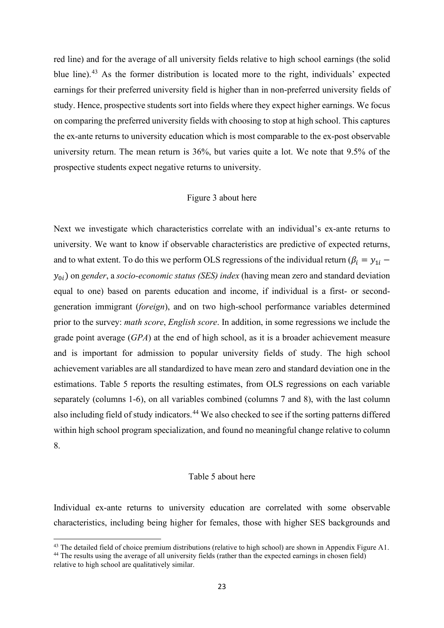forecast at the time when they make their schooling choices (*uncertainty*)[36](#page-22-0) and another which they can predict (*heterogeneity*).[37](#page-22-1) This distinction is made in the literature attempting to distinguish ex-ante and ex-post returns using observational data (see Carneiro, Hansen and Heckman, 2003; Cunha and Heckman, 2007; and HLT, Chapter 10).<sup>[38](#page-22-2)</sup> Ex-post earnings data capture both the unpredictable and predictable components, whereas ex-ante data only capture the predictable component.<sup>[39](#page-22-3)</sup> Hence, if our estimated biases from ex-ante data differ from those in well-designed observational studies, it could be because schooling choices are correlated with the earnings components that cannot be foreseen at the time when the schooling choices are made.

In Section 2.4, we showed that the expected earnings are highly correlated with the observed average earnings across educational choices (Figure 1). We also note that field of study in Sweden is very highly predictive of ultimate occupation (Björklind et al., 2016).<sup>[40](#page-22-4)</sup> However, we still want to emphasize that our results are only suggestive for those conclusions that require ex-post validity. Additionally, our questions about future earnings are asked conditional on graduating and finding employment, so our estimates are not intended to take risk of drop-out or unemployment into account.

Finally, our main estimates of ex-ante returns are calculated based on the average of individuals' earnings expectations at age 30 and at age 40, rather than lifetime earnings. These could differ because of foregone earnings due to education duration, and because of different earnings growth rates. However, previous research using Swedish administrative data has shown that life-cycle bias is quite low for workers if their earnings are measured at these ages (Böhlmark and Lindquist,2006; Nybom and Stuhler. 2016), at least for men. Discount rates could also differ between individuals, but since our estimates are within individual, they should not impact our results.

<span id="page-22-0"></span><sup>&</sup>lt;sup>36</sup> Say because of an exogenous shock that changes the returns to university ex-post.

<span id="page-22-1"></span> $37$  In our case the latter would be what is known to the individual at the time of the survey.

<span id="page-22-2"></span><sup>&</sup>lt;sup>38</sup> See also Heckman and Vytlacil (2007) who distinguish between the true earnings beliefs and true earnings.

<span id="page-22-3"></span><sup>&</sup>lt;sup>39</sup> HLT surveys the literature and finds that both are important.

<span id="page-22-4"></span><sup>40</sup> Swedish degree programs are more specialized than American ones (lacking the broad liberal arts foundation).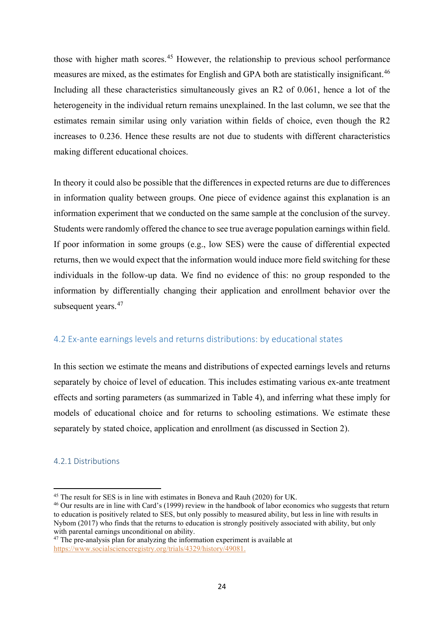### <span id="page-23-0"></span>4 Estimated ex-ante earnings levels and returns distributions: university versus high school

In this section we describe the distributions of ex-ante earnings levels and returns. We begin by describing them overall (Section 4.1), followed by between and within (Section 4.2) the high school and university educational states.

### <span id="page-23-1"></span>4.1 Ex-ante earnings levels and returns distributions: overall

The overall earnings distributions for high school and university fields of study are shown in Figure 2 for high school (the solid red line) and stated university field of choice<sup>[41](#page-23-2)</sup> (the dashed blue line).[42](#page-23-3) In the figure we also show the eight university fields of study alternatives (as solid grey lines). Each distribution consists of all individuals in our sample (regardless of their intent to go to college or not).

### Figure 2 about here

The individuals' expectations of high school earnings, i.e., if they were to choose not to continue to university, show that most of responses lie between 20,000 and 35,000 SEK in monthly pre-tax earnings, with a mean of 26,400 SEK (roughly  $\epsilon$ 2,640) and a standard deviation of 6.9. The individuals' expectations of university earnings, i.e., if they were to attend their preferred university field, show a distribution that is located more to the right and is more dispersed. The bulk of the responses are between 25,000 and 50,000 SEK in monthly pre-tax earnings with a mean of 38,600 SEK and a standard deviation of 11.9. The mean is about 46% higher and the standard deviation (SD) is 72% higher for preferred fields of university compared to the high school distribution.

By using the distribution of counterfactual earnings for high school and (preferred) university fields of choice, we can construct the distribution of ex-ante university premiums. Figure 3 shows distributions for preferred university field relative to high school earnings (the dashed

<span id="page-23-2"></span><sup>&</sup>lt;sup>41</sup> Here we use survey-stated chosen field. If we use chosen field based on application or enrollment, the university distribution (Figure 2) and returns to education distribution (Figure 3) look very similar.

<span id="page-23-3"></span> $42$  Students who chose the no-college option in the survey don't have a preferred "university field". For them we use a weighted average of all 8 college fields, where the weights are the popularity of these fields among the rest of the sample, as their expected university earnings.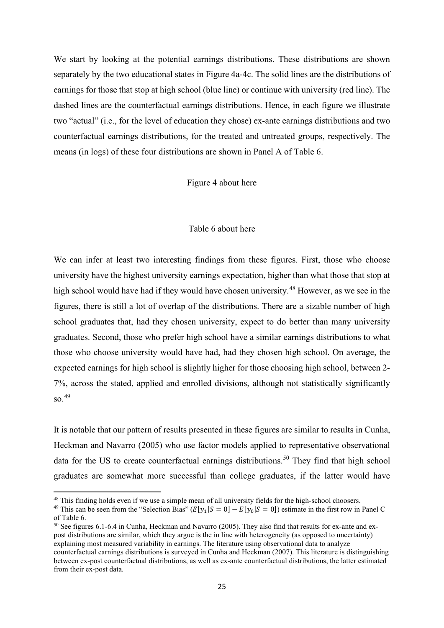red line) and for the average of all university fields relative to high school earnings (the solid blue line).<sup>[43](#page-24-0)</sup> As the former distribution is located more to the right, individuals' expected earnings for their preferred university field is higher than in non-preferred university fields of study. Hence, prospective students sort into fields where they expect higher earnings. We focus on comparing the preferred university fields with choosing to stop at high school. This captures the ex-ante returns to university education which is most comparable to the ex-post observable university return. The mean return is 36%, but varies quite a lot. We note that 9.5% of the prospective students expect negative returns to university.

### Figure 3 about here

Next we investigate which characteristics correlate with an individual's ex-ante returns to university. We want to know if observable characteristics are predictive of expected returns, and to what extent. To do this we perform OLS regressions of the individual return ( $\beta_i = y_{1i}$  – 0) on *gender*, a *socio-economic status (SES) index* (having mean zero and standard deviation equal to one) based on parents education and income, if individual is a first- or secondgeneration immigrant (*foreign*), and on two high-school performance variables determined prior to the survey: *math score*, *English score*. In addition, in some regressions we include the grade point average (*GPA*) at the end of high school, as it is a broader achievement measure and is important for admission to popular university fields of study. The high school achievement variables are all standardized to have mean zero and standard deviation one in the estimations. Table 5 reports the resulting estimates, from OLS regressions on each variable separately (columns 1-6), on all variables combined (columns 7 and 8), with the last column also including field of study indicators.<sup>[44](#page-24-1)</sup> We also checked to see if the sorting patterns differed within high school program specialization, and found no meaningful change relative to column 8.

### Table 5 about here

Individual ex-ante returns to university education are correlated with some observable characteristics, including being higher for females, those with higher SES backgrounds and

<span id="page-24-0"></span><sup>&</sup>lt;sup>43</sup> The detailed field of choice premium distributions (relative to high school) are shown in Appendix Figure A1.

<span id="page-24-1"></span><sup>&</sup>lt;sup>44</sup> The results using the average of all university fields (rather than the expected earnings in chosen field) relative to high school are qualitatively similar.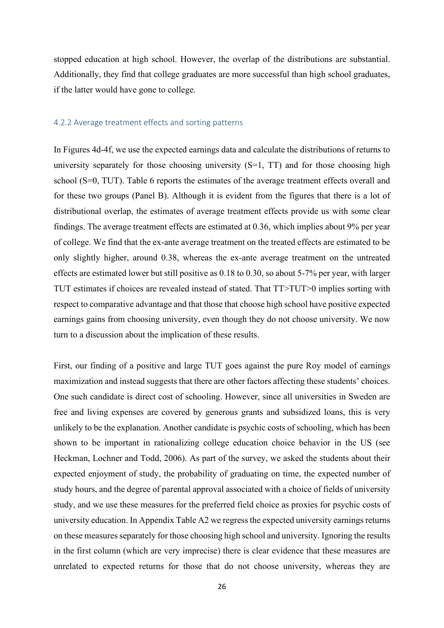those with higher math scores.<sup>[45](#page-25-2)</sup> However, the relationship to previous school performance measures are mixed, as the estimates for English and GPA both are statistically insignificant.<sup>[46](#page-25-3)</sup> Including all these characteristics simultaneously gives an R2 of 0.061, hence a lot of the heterogeneity in the individual return remains unexplained. In the last column, we see that the estimates remain similar using only variation within fields of choice, even though the R2 increases to 0.236. Hence these results are not due to students with different characteristics making different educational choices.

In theory it could also be possible that the differences in expected returns are due to differences in information quality between groups. One piece of evidence against this explanation is an information experiment that we conducted on the same sample at the conclusion of the survey. Students were randomly offered the chance to see true average population earnings within field. If poor information in some groups (e.g., low SES) were the cause of differential expected returns, then we would expect that the information would induce more field switching for these individuals in the follow-up data. We find no evidence of this: no group responded to the information by differentially changing their application and enrollment behavior over the subsequent years.<sup>[47](#page-25-4)</sup>

### <span id="page-25-0"></span>4.2 Ex-ante earnings levels and returns distributions: by educational states

In this section we estimate the means and distributions of expected earnings levels and returns separately by choice of level of education. This includes estimating various ex-ante treatment effects and sorting parameters (as summarized in Table 4), and inferring what these imply for models of educational choice and for returns to schooling estimations. We estimate these separately by stated choice, application and enrollment (as discussed in Section 2).

### <span id="page-25-1"></span>4.2.1 Distributions

<span id="page-25-2"></span><sup>45</sup> The result for SES is in line with estimates in Boneva and Rauh (2020) for UK.

<span id="page-25-3"></span><sup>46</sup> Our results are in line with Card's (1999) review in the handbook of labor economics who suggests that return to education is positively related to SES, but only possibly to measured ability, but less in line with results in Nybom (2017) who finds that the returns to education is strongly positively associated with ability, but only with parental earnings unconditional on ability.

<span id="page-25-4"></span><sup>&</sup>lt;sup>47</sup> The pre-analysis plan for analyzing the information experiment is available at [https://www.socialscienceregistry.org/trials/4329/history/49081.](https://www.socialscienceregistry.org/trials/4329/history/49081)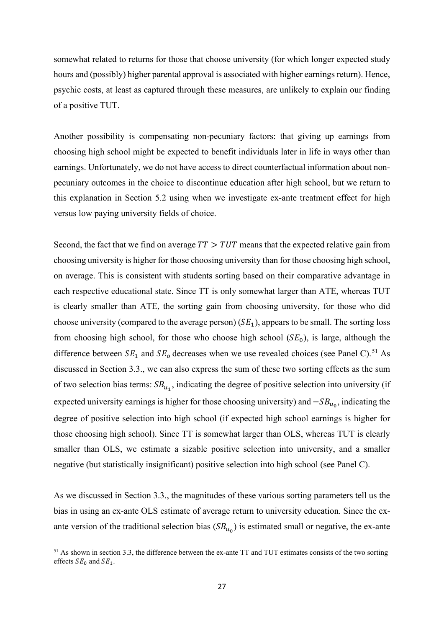We start by looking at the potential earnings distributions. These distributions are shown separately by the two educational states in Figure 4a-4c. The solid lines are the distributions of earnings for those that stop at high school (blue line) or continue with university (red line). The dashed lines are the counterfactual earnings distributions. Hence, in each figure we illustrate two "actual" (i.e., for the level of education they chose) ex-ante earnings distributions and two counterfactual earnings distributions, for the treated and untreated groups, respectively. The means (in logs) of these four distributions are shown in Panel A of Table 6.

Figure 4 about here

### Table 6 about here

We can infer at least two interesting findings from these figures. First, those who choose university have the highest university earnings expectation, higher than what those that stop at high school would have had if they would have chosen university.<sup>[48](#page-26-0)</sup> However, as we see in the figures, there is still a lot of overlap of the distributions. There are a sizable number of high school graduates that, had they chosen university, expect to do better than many university graduates. Second, those who prefer high school have a similar earnings distributions to what those who choose university would have had, had they chosen high school. On average, the expected earnings for high school is slightly higher for those choosing high school, between 2- 7%, across the stated, applied and enrolled divisions, although not statistically significantly so. [49](#page-26-1)

It is notable that our pattern of results presented in these figures are similar to results in Cunha, Heckman and Navarro (2005) who use factor models applied to representative observational data for the US to create counterfactual earnings distributions.<sup>[50](#page-26-2)</sup> They find that high school graduates are somewhat more successful than college graduates, if the latter would have

<span id="page-26-0"></span><sup>48</sup> This finding holds even if we use a simple mean of all university fields for the high-school choosers.

<span id="page-26-1"></span><sup>&</sup>lt;sup>49</sup> This can be seen from the "Selection Bias" ( $E[y_1|S=0] - E[y_0|S=0]$ ) estimate in the first row in Panel C of Table 6.

<span id="page-26-2"></span><sup>&</sup>lt;sup>50</sup> See figures 6.1-6.4 in Cunha, Heckman and Navarro (2005). They also find that results for ex-ante and expost distributions are similar, which they argue is the in line with heterogeneity (as opposed to uncertainty) explaining most measured variability in earnings. The literature using observational data to analyze counterfactual earnings distributions is surveyed in Cunha and Heckman (2007). This literature is distinguishing between ex-post counterfactual distributions, as well as ex-ante counterfactual distributions, the latter estimated from their ex-post data.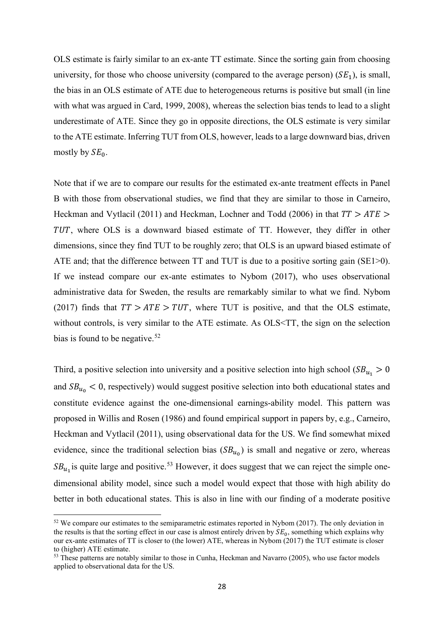stopped education at high school. However, the overlap of the distributions are substantial. Additionally, they find that college graduates are more successful than high school graduates, if the latter would have gone to college.

#### <span id="page-27-0"></span>4.2.2 Average treatment effects and sorting patterns

In Figures 4d-4f, we use the expected earnings data and calculate the distributions of returns to university separately for those choosing university  $(S=1, TT)$  and for those choosing high school (S=0, TUT). Table 6 reports the estimates of the average treatment effects overall and for these two groups (Panel B). Although it is evident from the figures that there is a lot of distributional overlap, the estimates of average treatment effects provide us with some clear findings. The average treatment effects are estimated at 0.36, which implies about 9% per year of college. We find that the ex-ante average treatment on the treated effects are estimated to be only slightly higher, around 0.38, whereas the ex-ante average treatment on the untreated effects are estimated lower but still positive as 0.18 to 0.30, so about 5-7% per year, with larger TUT estimates if choices are revealed instead of stated. That TT>TUT>0 implies sorting with respect to comparative advantage and that those that choose high school have positive expected earnings gains from choosing university, even though they do not choose university. We now turn to a discussion about the implication of these results.

First, our finding of a positive and large TUT goes against the pure Roy model of earnings maximization and instead suggests that there are other factors affecting these students' choices. One such candidate is direct cost of schooling. However, since all universities in Sweden are free and living expenses are covered by generous grants and subsidized loans, this is very unlikely to be the explanation. Another candidate is psychic costs of schooling, which has been shown to be important in rationalizing college education choice behavior in the US (see Heckman, Lochner and Todd, 2006). As part of the survey, we asked the students about their expected enjoyment of study, the probability of graduating on time, the expected number of study hours, and the degree of parental approval associated with a choice of fields of university study, and we use these measures for the preferred field choice as proxies for psychic costs of university education. In Appendix Table A2 we regress the expected university earnings returns on these measuresseparately for those choosing high school and university. Ignoring the results in the first column (which are very imprecise) there is clear evidence that these measures are unrelated to expected returns for those that do not choose university, whereas they are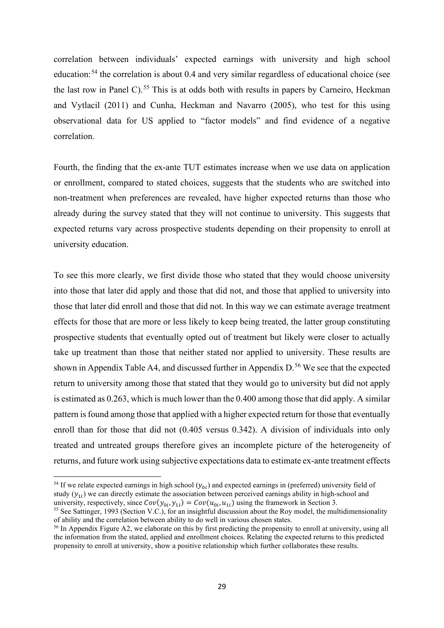somewhat related to returns for those that choose university (for which longer expected study hours and (possibly) higher parental approval is associated with higher earnings return). Hence, psychic costs, at least as captured through these measures, are unlikely to explain our finding of a positive TUT.

Another possibility is compensating non-pecuniary factors: that giving up earnings from choosing high school might be expected to benefit individuals later in life in ways other than earnings. Unfortunately, we do not have access to direct counterfactual information about nonpecuniary outcomes in the choice to discontinue education after high school, but we return to this explanation in Section 5.2 using when we investigate ex-ante treatment effect for high versus low paying university fields of choice.

Second, the fact that we find on average  $TT > TUT$  means that the expected relative gain from choosing university is higher for those choosing university than for those choosing high school, on average. This is consistent with students sorting based on their comparative advantage in each respective educational state. Since TT is only somewhat larger than ATE, whereas TUT is clearly smaller than ATE, the sorting gain from choosing university, for those who did choose university (compared to the average person)  $(SE<sub>1</sub>)$ , appears to be small. The sorting loss from choosing high school, for those who choose high school  $(SE<sub>0</sub>)$ , is large, although the difference between  $SE_1$  and  $SE_0$  decreases when we use revealed choices (see Panel C).<sup>[51](#page-28-0)</sup> As discussed in Section 3.3., we can also express the sum of these two sorting effects as the sum of two selection bias terms:  $SB_{u_1}$ , indicating the degree of positive selection into university (if expected university earnings is higher for those choosing university) and  $-SB_{u_0}$ , indicating the degree of positive selection into high school (if expected high school earnings is higher for those choosing high school). Since TT is somewhat larger than OLS, whereas TUT is clearly smaller than OLS, we estimate a sizable positive selection into university, and a smaller negative (but statistically insignificant) positive selection into high school (see Panel C).

As we discussed in Section 3.3., the magnitudes of these various sorting parameters tell us the bias in using an ex-ante OLS estimate of average return to university education. Since the exante version of the traditional selection bias  $(SB_{u})$  is estimated small or negative, the ex-ante

<span id="page-28-0"></span> $51$  As shown in section 3.3, the difference between the ex-ante TT and TUT estimates consists of the two sorting effects  $SE_0$  and  $SE_1$ .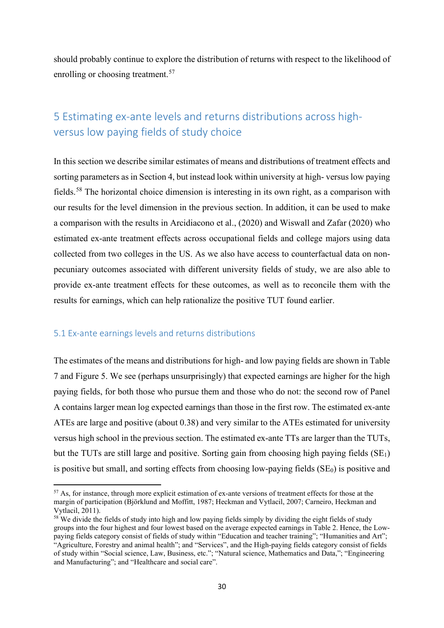OLS estimate is fairly similar to an ex-ante TT estimate. Since the sorting gain from choosing university, for those who choose university (compared to the average person)  $(SE<sub>1</sub>)$ , is small, the bias in an OLS estimate of ATE due to heterogeneous returns is positive but small (in line with what was argued in Card, 1999, 2008), whereas the selection bias tends to lead to a slight underestimate of ATE. Since they go in opposite directions, the OLS estimate is very similar to the ATE estimate. Inferring TUT from OLS, however, leads to a large downward bias, driven mostly by  $SE<sub>0</sub>$ .

Note that if we are to compare our results for the estimated ex-ante treatment effects in Panel B with those from observational studies, we find that they are similar to those in Carneiro, Heckman and Vytlacil (2011) and Heckman, Lochner and Todd (2006) in that  $TT > ATE >$ TUT, where OLS is a downward biased estimate of TT. However, they differ in other dimensions, since they find TUT to be roughly zero; that OLS is an upward biased estimate of ATE and; that the difference between TT and TUT is due to a positive sorting gain (SE1>0). If we instead compare our ex-ante estimates to Nybom (2017), who uses observational administrative data for Sweden, the results are remarkably similar to what we find. Nybom (2017) finds that  $TT > ATE > TUT$ , where TUT is positive, and that the OLS estimate, without controls, is very similar to the ATE estimate. As OLS<TT, the sign on the selection bias is found to be negative.<sup>[52](#page-29-0)</sup>

Third, a positive selection into university and a positive selection into high school ( $SB_{u_1} > 0$ and  $SB<sub>u<sub>0</sub></sub> < 0$ , respectively) would suggest positive selection into both educational states and constitute evidence against the one-dimensional earnings-ability model. This pattern was proposed in Willis and Rosen (1986) and found empirical support in papers by, e.g., Carneiro, Heckman and Vytlacil (2011), using observational data for the US. We find somewhat mixed evidence, since the traditional selection bias  $(SB_{u_0})$  is small and negative or zero, whereas  $SB_{u_1}$  is quite large and positive.<sup>[53](#page-29-1)</sup> However, it does suggest that we can reject the simple onedimensional ability model, since such a model would expect that those with high ability do better in both educational states. This is also in line with our finding of a moderate positive

<span id="page-29-0"></span> $52$  We compare our estimates to the semiparametric estimates reported in Nybom (2017). The only deviation in the results is that the sorting effect in our case is almost entirely driven by  $SE_0$ , something which explains why our ex-ante estimates of TT is closer to (the lower) ATE, whereas in Nybom (2017) the TUT estimate is closer to (higher) ATE estimate.

<span id="page-29-1"></span><sup>&</sup>lt;sup>53</sup> These patterns are notably similar to those in Cunha, Heckman and Navarro (2005), who use factor models applied to observational data for the US.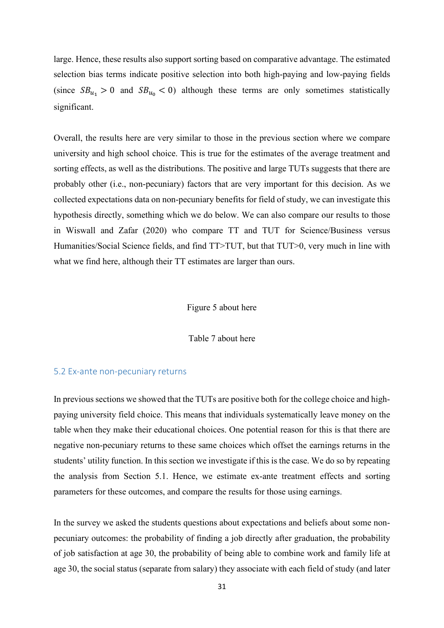correlation between individuals' expected earnings with university and high school education:<sup>[54](#page-30-0)</sup> the correlation is about 0.4 and very similar regardless of educational choice (see the last row in Panel C).<sup>[55](#page-30-1)</sup> This is at odds both with results in papers by Carneiro, Heckman and Vytlacil (2011) and Cunha, Heckman and Navarro (2005), who test for this using observational data for US applied to "factor models" and find evidence of a negative correlation.

Fourth, the finding that the ex-ante TUT estimates increase when we use data on application or enrollment, compared to stated choices, suggests that the students who are switched into non-treatment when preferences are revealed, have higher expected returns than those who already during the survey stated that they will not continue to university. This suggests that expected returns vary across prospective students depending on their propensity to enroll at university education.

To see this more clearly, we first divide those who stated that they would choose university into those that later did apply and those that did not, and those that applied to university into those that later did enroll and those that did not. In this way we can estimate average treatment effects for those that are more or less likely to keep being treated, the latter group constituting prospective students that eventually opted out of treatment but likely were closer to actually take up treatment than those that neither stated nor applied to university. These results are shown in Appendix Table A4, and discussed further in Appendix D.<sup>[56](#page-30-2)</sup> We see that the expected return to university among those that stated that they would go to university but did not apply is estimated as 0.263, which is much lower than the 0.400 among those that did apply. A similar pattern is found among those that applied with a higher expected return for those that eventually enroll than for those that did not (0.405 versus 0.342). A division of individuals into only treated and untreated groups therefore gives an incomplete picture of the heterogeneity of returns, and future work using subjective expectations data to estimate ex-ante treatment effects

<span id="page-30-0"></span><sup>&</sup>lt;sup>54</sup> If we relate expected earnings in high school  $(y_{0i})$  and expected earnings in (preferred) university field of study  $(y_{1i})$  we can directly estimate the association between perceived earnings ability in high-school and university, respectively, since  $Cov(y_{0i}, y_{1i}) = Cov(u_{0i}, u_{1i})$  using the framework in Section 3.

<span id="page-30-1"></span> $55$  See Sattinger, 1993 (Section V.C.), for an insightful discussion about the Roy model, the multidimensionality of ability and the correlation between ability to do well in various chosen states.

<span id="page-30-2"></span> $56$  In Appendix Figure A2, we elaborate on this by first predicting the propensity to enroll at university, using all the information from the stated, applied and enrollment choices. Relating the expected returns to this predicted propensity to enroll at university, show a positive relationship which further collaborates these results.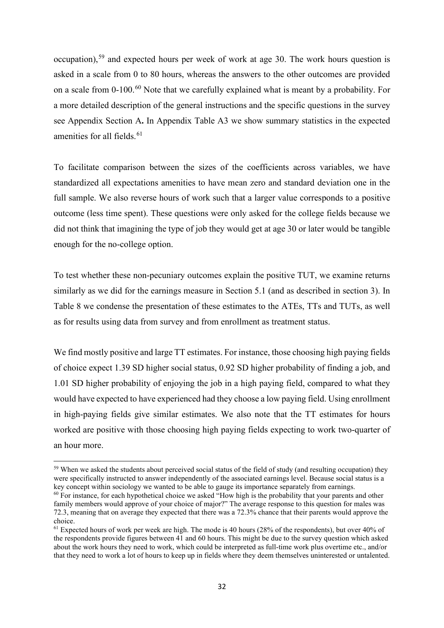should probably continue to explore the distribution of returns with respect to the likelihood of enrolling or choosing treatment.<sup>[57](#page-31-2)</sup>

### <span id="page-31-0"></span>5 Estimating ex-ante levels and returns distributions across highversus low paying fields of study choice

In this section we describe similar estimates of means and distributions of treatment effects and sorting parameters as in Section 4, but instead look within university at high- versus low paying fields.<sup>[58](#page-31-3)</sup> The horizontal choice dimension is interesting in its own right, as a comparison with our results for the level dimension in the previous section. In addition, it can be used to make a comparison with the results in Arcidiacono et al., (2020) and Wiswall and Zafar (2020) who estimated ex-ante treatment effects across occupational fields and college majors using data collected from two colleges in the US. As we also have access to counterfactual data on nonpecuniary outcomes associated with different university fields of study, we are also able to provide ex-ante treatment effects for these outcomes, as well as to reconcile them with the results for earnings, which can help rationalize the positive TUT found earlier.

### <span id="page-31-1"></span>5.1 Ex-ante earnings levels and returns distributions

The estimates of the means and distributions for high- and low paying fields are shown in Table 7 and Figure 5. We see (perhaps unsurprisingly) that expected earnings are higher for the high paying fields, for both those who pursue them and those who do not: the second row of Panel A contains larger mean log expected earnings than those in the first row. The estimated ex-ante ATEs are large and positive (about 0.38) and very similar to the ATEs estimated for university versus high school in the previous section. The estimated ex-ante TTs are larger than the TUTs, but the TUTs are still large and positive. Sorting gain from choosing high paying fields  $(SE_1)$ is positive but small, and sorting effects from choosing low-paying fields  $(SE<sub>0</sub>)$  is positive and

<span id="page-31-2"></span><sup>&</sup>lt;sup>57</sup> As, for instance, through more explicit estimation of ex-ante versions of treatment effects for those at the margin of participation (Björklund and Moffitt, 1987; Heckman and Vytlacil, 2007; Carneiro, Heckman and Vytlacil, 2011).

<span id="page-31-3"></span><sup>&</sup>lt;sup>58</sup> We divide the fields of study into high and low paying fields simply by dividing the eight fields of study groups into the four highest and four lowest based on the average expected earnings in Table 2. Hence, the Lowpaying fields category consist of fields of study within "Education and teacher training"; "Humanities and Art"; "Agriculture, Forestry and animal health"; and "Services", and the High-paying fields category consist of fields of study within "Social science, Law, Business, etc."; "Natural science, Mathematics and Data,"; "Engineering and Manufacturing"; and "Healthcare and social care".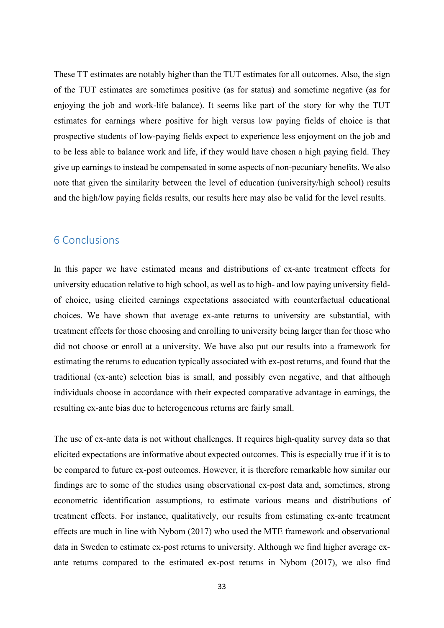large. Hence, these results also support sorting based on comparative advantage. The estimated selection bias terms indicate positive selection into both high-paying and low-paying fields (since  $SB_{u_1} > 0$  and  $SB_{u_0} < 0$ ) although these terms are only sometimes statistically significant.

Overall, the results here are very similar to those in the previous section where we compare university and high school choice. This is true for the estimates of the average treatment and sorting effects, as well as the distributions. The positive and large TUTs suggests that there are probably other (i.e., non-pecuniary) factors that are very important for this decision. As we collected expectations data on non-pecuniary benefits for field of study, we can investigate this hypothesis directly, something which we do below. We can also compare our results to those in Wiswall and Zafar (2020) who compare TT and TUT for Science/Business versus Humanities/Social Science fields, and find TT>TUT, but that TUT>0, very much in line with what we find here, although their TT estimates are larger than ours.

### Figure 5 about here

Table 7 about here

### <span id="page-32-0"></span>5.2 Ex-ante non-pecuniary returns

In previous sections we showed that the TUTs are positive both for the college choice and highpaying university field choice. This means that individuals systematically leave money on the table when they make their educational choices. One potential reason for this is that there are negative non-pecuniary returns to these same choices which offset the earnings returns in the students' utility function. In this section we investigate if this is the case. We do so by repeating the analysis from Section 5.1. Hence, we estimate ex-ante treatment effects and sorting parameters for these outcomes, and compare the results for those using earnings.

In the survey we asked the students questions about expectations and beliefs about some nonpecuniary outcomes: the probability of finding a job directly after graduation, the probability of job satisfaction at age 30, the probability of being able to combine work and family life at age 30, the social status (separate from salary) they associate with each field of study (and later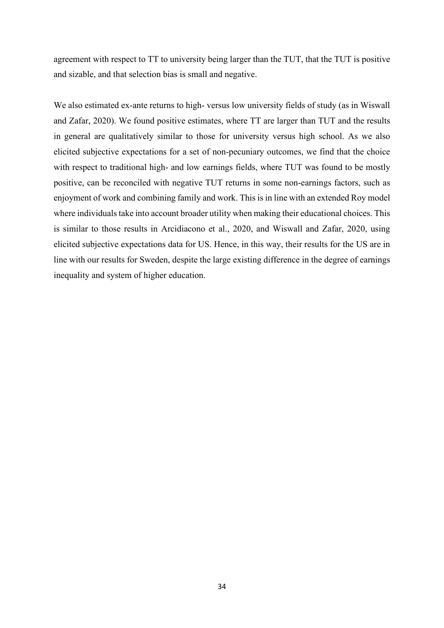occupation),<sup>[59](#page-33-0)</sup> and expected hours per week of work at age 30. The work hours question is asked in a scale from 0 to 80 hours, whereas the answers to the other outcomes are provided on a scale from 0-100.<sup>[60](#page-33-1)</sup> Note that we carefully explained what is meant by a probability. For a more detailed description of the general instructions and the specific questions in the survey see Appendix Section A**.** In Appendix Table A3 we show summary statistics in the expected amenities for all fields.<sup>[61](#page-33-2)</sup>

To facilitate comparison between the sizes of the coefficients across variables, we have standardized all expectations amenities to have mean zero and standard deviation one in the full sample. We also reverse hours of work such that a larger value corresponds to a positive outcome (less time spent). These questions were only asked for the college fields because we did not think that imagining the type of job they would get at age 30 or later would be tangible enough for the no-college option.

To test whether these non-pecuniary outcomes explain the positive TUT, we examine returns similarly as we did for the earnings measure in Section 5.1 (and as described in section 3). In Table 8 we condense the presentation of these estimates to the ATEs, TTs and TUTs, as well as for results using data from survey and from enrollment as treatment status.

We find mostly positive and large TT estimates. For instance, those choosing high paying fields of choice expect 1.39 SD higher social status, 0.92 SD higher probability of finding a job, and 1.01 SD higher probability of enjoying the job in a high paying field, compared to what they would have expected to have experienced had they choose a low paying field. Using enrollment in high-paying fields give similar estimates. We also note that the TT estimates for hours worked are positive with those choosing high paying fields expecting to work two-quarter of an hour more.

<span id="page-33-0"></span><sup>&</sup>lt;sup>59</sup> When we asked the students about perceived social status of the field of study (and resulting occupation) they were specifically instructed to answer independently of the associated earnings level. Because social status is a key concept within sociology we wanted to be able to gauge its importance separately from earnings.

<span id="page-33-1"></span><sup>&</sup>lt;sup>60</sup> For instance, for each hypothetical choice we asked "How high is the probability that your parents and other family members would approve of your choice of major?" The average response to this question for males was 72.3, meaning that on average they expected that there was a 72.3% chance that their parents would approve the choice.

<span id="page-33-2"></span><sup>&</sup>lt;sup>61</sup> Expected hours of work per week are high. The mode is 40 hours (28% of the respondents), but over 40% of the respondents provide figures between 41 and 60 hours. This might be due to the survey question which asked about the work hours they need to work, which could be interpreted as full-time work plus overtime etc., and/or that they need to work a lot of hours to keep up in fields where they deem themselves uninterested or untalented.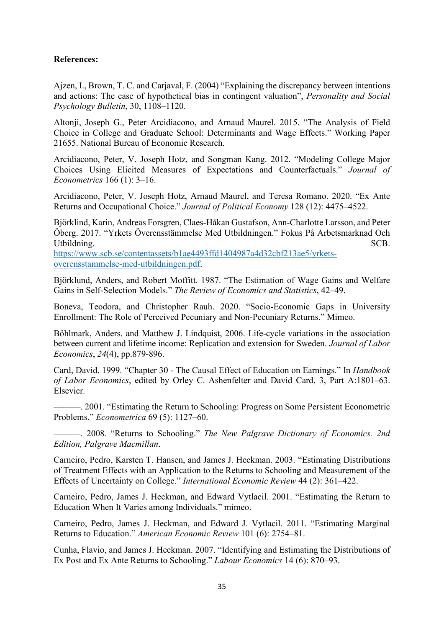These TT estimates are notably higher than the TUT estimates for all outcomes. Also, the sign of the TUT estimates are sometimes positive (as for status) and sometime negative (as for enjoying the job and work-life balance). It seems like part of the story for why the TUT estimates for earnings where positive for high versus low paying fields of choice is that prospective students of low-paying fields expect to experience less enjoyment on the job and to be less able to balance work and life, if they would have chosen a high paying field. They give up earnings to instead be compensated in some aspects of non-pecuniary benefits. We also note that given the similarity between the level of education (university/high school) results and the high/low paying fields results, our results here may also be valid for the level results.

### <span id="page-34-0"></span>6 Conclusions

In this paper we have estimated means and distributions of ex-ante treatment effects for university education relative to high school, as well as to high- and low paying university fieldof choice, using elicited earnings expectations associated with counterfactual educational choices. We have shown that average ex-ante returns to university are substantial, with treatment effects for those choosing and enrolling to university being larger than for those who did not choose or enroll at a university. We have also put our results into a framework for estimating the returns to education typically associated with ex-post returns, and found that the traditional (ex-ante) selection bias is small, and possibly even negative, and that although individuals choose in accordance with their expected comparative advantage in earnings, the resulting ex-ante bias due to heterogeneous returns are fairly small.

The use of ex-ante data is not without challenges. It requires high-quality survey data so that elicited expectations are informative about expected outcomes. This is especially true if it is to be compared to future ex-post outcomes. However, it is therefore remarkable how similar our findings are to some of the studies using observational ex-post data and, sometimes, strong econometric identification assumptions, to estimate various means and distributions of treatment effects. For instance, qualitatively, our results from estimating ex-ante treatment effects are much in line with Nybom (2017) who used the MTE framework and observational data in Sweden to estimate ex-post returns to university. Although we find higher average exante returns compared to the estimated ex-post returns in Nybom (2017), we also find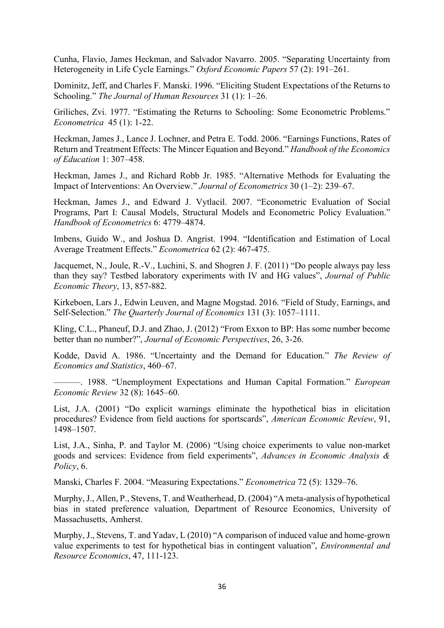agreement with respect to TT to university being larger than the TUT, that the TUT is positive and sizable, and that selection bias is small and negative.

We also estimated ex-ante returns to high- versus low university fields of study (as in Wiswall and Zafar, 2020). We found positive estimates, where TT are larger than TUT and the results in general are qualitatively similar to those for university versus high school. As we also elicited subjective expectations for a set of non-pecuniary outcomes, we find that the choice with respect to traditional high- and low earnings fields, where TUT was found to be mostly positive, can be reconciled with negative TUT returns in some non-earnings factors, such as enjoyment of work and combining family and work. This is in line with an extended Roy model where individuals take into account broader utility when making their educational choices. This is similar to those results in Arcidiacono et al., 2020, and Wiswall and Zafar, 2020, using elicited subjective expectations data for US. Hence, in this way, their results for the US are in line with our results for Sweden, despite the large existing difference in the degree of earnings inequality and system of higher education.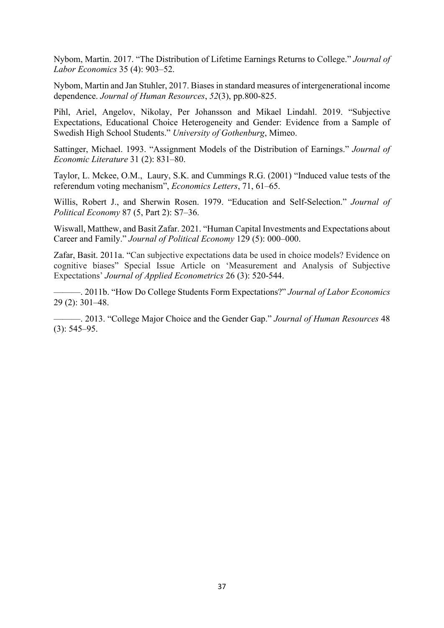### **References:**

Ajzen, I., Brown, T. C. and Carjaval, F. (2004) "Explaining the discrepancy between intentions and actions: The case of hypothetical bias in contingent valuation", *Personality and Social Psychology Bulletin*, 30, 1108–1120.

Altonji, Joseph G., Peter Arcidiacono, and Arnaud Maurel. 2015. "The Analysis of Field Choice in College and Graduate School: Determinants and Wage Effects." Working Paper 21655. National Bureau of Economic Research.

Arcidiacono, Peter, V. Joseph Hotz, and Songman Kang. 2012. "Modeling College Major Choices Using Elicited Measures of Expectations and Counterfactuals." *Journal of Econometrics* 166 (1): 3–16.

Arcidiacono, Peter, V. Joseph Hotz, Arnaud Maurel, and Teresa Romano. 2020. "Ex Ante Returns and Occupational Choice." *Journal of Political Economy* 128 (12): 4475–4522.

Björklind, Karin, Andreas Forsgren, Claes-Håkan Gustafson, Ann-Charlotte Larsson, and Peter Öberg. 2017. "Yrkets Överensstämmelse Med Utbildningen." Fokus På Arbetsmarknad Och Utbildning. SCB.

[https://www.scb.se/contentassets/b1ae4493ffd1404987a4d32cbf213ae5/yrkets](https://www.scb.se/contentassets/b1ae4493ffd1404987a4d32cbf213ae5/yrkets-overensstammelse-med-utbildningen.pdf)[overensstammelse-med-utbildningen.pdf.](https://www.scb.se/contentassets/b1ae4493ffd1404987a4d32cbf213ae5/yrkets-overensstammelse-med-utbildningen.pdf)

Björklund, Anders, and Robert Moffitt. 1987. "The Estimation of Wage Gains and Welfare Gains in Self-Selection Models." *The Review of Economics and Statistics*, 42–49.

Boneva, Teodora, and Christopher Rauh. 2020. "Socio-Economic Gaps in University Enrollment: The Role of Perceived Pecuniary and Non-Pecuniary Returns." Mimeo.

Böhlmark, Anders. and Matthew J. Lindquist, 2006. Life-cycle variations in the association between current and lifetime income: Replication and extension for Sweden. *Journal of Labor Economics*, *24*(4), pp.879-896.

Card, David. 1999. "Chapter 30 - The Causal Effect of Education on Earnings." In *Handbook of Labor Economics*, edited by Orley C. Ashenfelter and David Card, 3, Part A:1801–63. Elsevier.

———. 2001. "Estimating the Return to Schooling: Progress on Some Persistent Econometric Problems." *Econometrica* 69 (5): 1127–60.

———. 2008. "Returns to Schooling." *The New Palgrave Dictionary of Economics. 2nd Edition, Palgrave Macmillan*.

Carneiro, Pedro, Karsten T. Hansen, and James J. Heckman. 2003. "Estimating Distributions of Treatment Effects with an Application to the Returns to Schooling and Measurement of the Effects of Uncertainty on College." *International Economic Review* 44 (2): 361–422.

Carneiro, Pedro, James J. Heckman, and Edward Vytlacil. 2001. "Estimating the Return to Education When It Varies among Individuals." mimeo.

Carneiro, Pedro, James J. Heckman, and Edward J. Vytlacil. 2011. "Estimating Marginal Returns to Education." *American Economic Review* 101 (6): 2754–81.

Cunha, Flavio, and James J. Heckman. 2007. "Identifying and Estimating the Distributions of Ex Post and Ex Ante Returns to Schooling." *Labour Economics* 14 (6): 870–93.